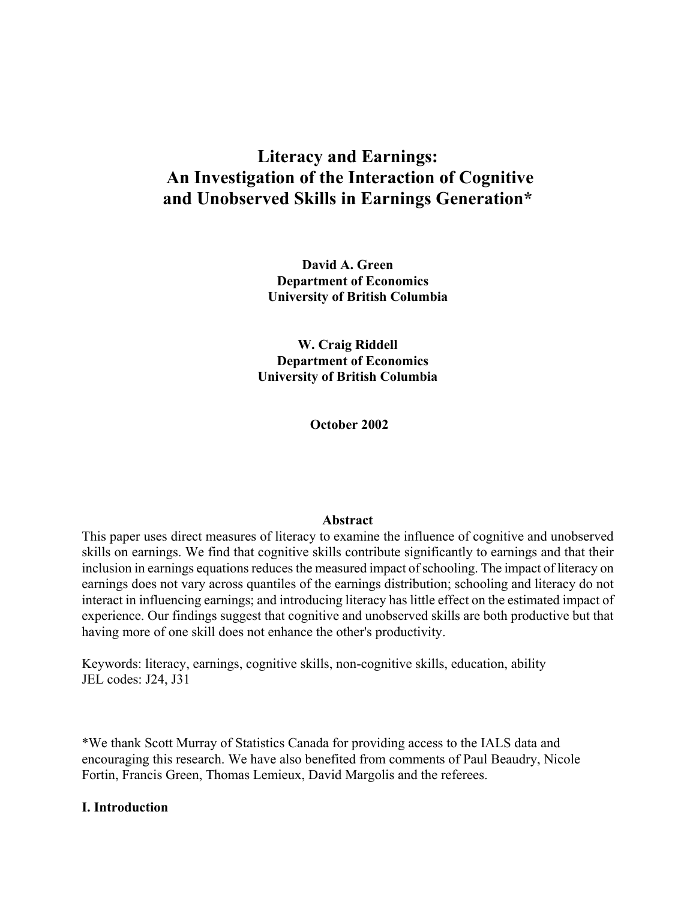# **Literacy and Earnings: An Investigation of the Interaction of Cognitive and Unobserved Skills in Earnings Generation\***

**David A. Green Department of Economics University of British Columbia** 

**W. Craig Riddell Department of Economics University of British Columbia** 

 **October 2002** 

# **Abstract**

This paper uses direct measures of literacy to examine the influence of cognitive and unobserved skills on earnings. We find that cognitive skills contribute significantly to earnings and that their inclusion in earnings equations reduces the measured impact of schooling. The impact of literacy on earnings does not vary across quantiles of the earnings distribution; schooling and literacy do not interact in influencing earnings; and introducing literacy has little effect on the estimated impact of experience. Our findings suggest that cognitive and unobserved skills are both productive but that having more of one skill does not enhance the other's productivity.

Keywords: literacy, earnings, cognitive skills, non-cognitive skills, education, ability JEL codes: J24, J31

\*We thank Scott Murray of Statistics Canada for providing access to the IALS data and encouraging this research. We have also benefited from comments of Paul Beaudry, Nicole Fortin, Francis Green, Thomas Lemieux, David Margolis and the referees.

# **I. Introduction**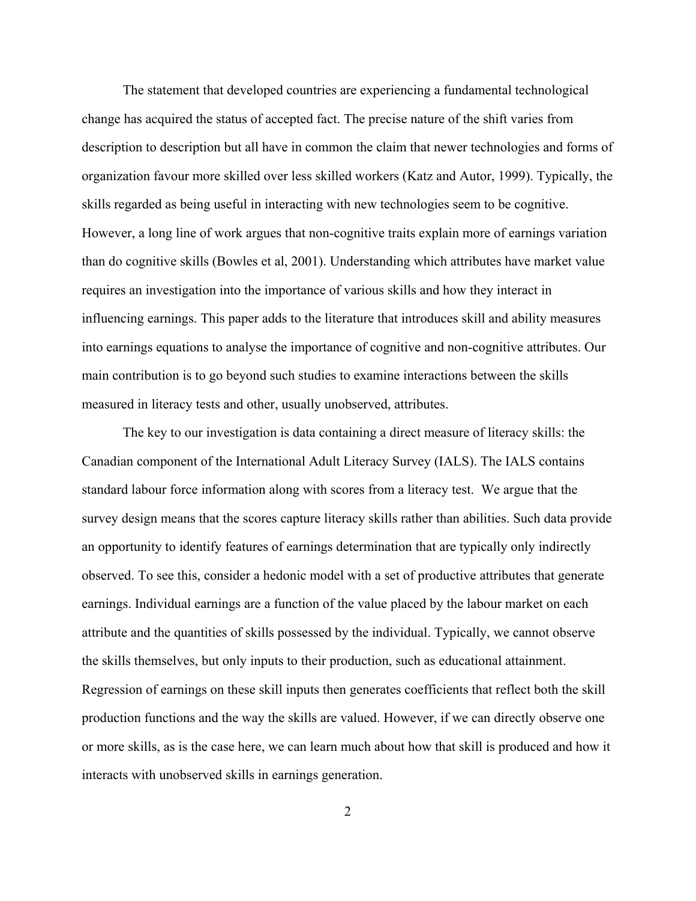The statement that developed countries are experiencing a fundamental technological change has acquired the status of accepted fact. The precise nature of the shift varies from description to description but all have in common the claim that newer technologies and forms of organization favour more skilled over less skilled workers (Katz and Autor, 1999). Typically, the skills regarded as being useful in interacting with new technologies seem to be cognitive. However, a long line of work argues that non-cognitive traits explain more of earnings variation than do cognitive skills (Bowles et al, 2001). Understanding which attributes have market value requires an investigation into the importance of various skills and how they interact in influencing earnings. This paper adds to the literature that introduces skill and ability measures into earnings equations to analyse the importance of cognitive and non-cognitive attributes. Our main contribution is to go beyond such studies to examine interactions between the skills measured in literacy tests and other, usually unobserved, attributes.

The key to our investigation is data containing a direct measure of literacy skills: the Canadian component of the International Adult Literacy Survey (IALS). The IALS contains standard labour force information along with scores from a literacy test. We argue that the survey design means that the scores capture literacy skills rather than abilities. Such data provide an opportunity to identify features of earnings determination that are typically only indirectly observed. To see this, consider a hedonic model with a set of productive attributes that generate earnings. Individual earnings are a function of the value placed by the labour market on each attribute and the quantities of skills possessed by the individual. Typically, we cannot observe the skills themselves, but only inputs to their production, such as educational attainment. Regression of earnings on these skill inputs then generates coefficients that reflect both the skill production functions and the way the skills are valued. However, if we can directly observe one or more skills, as is the case here, we can learn much about how that skill is produced and how it interacts with unobserved skills in earnings generation.

2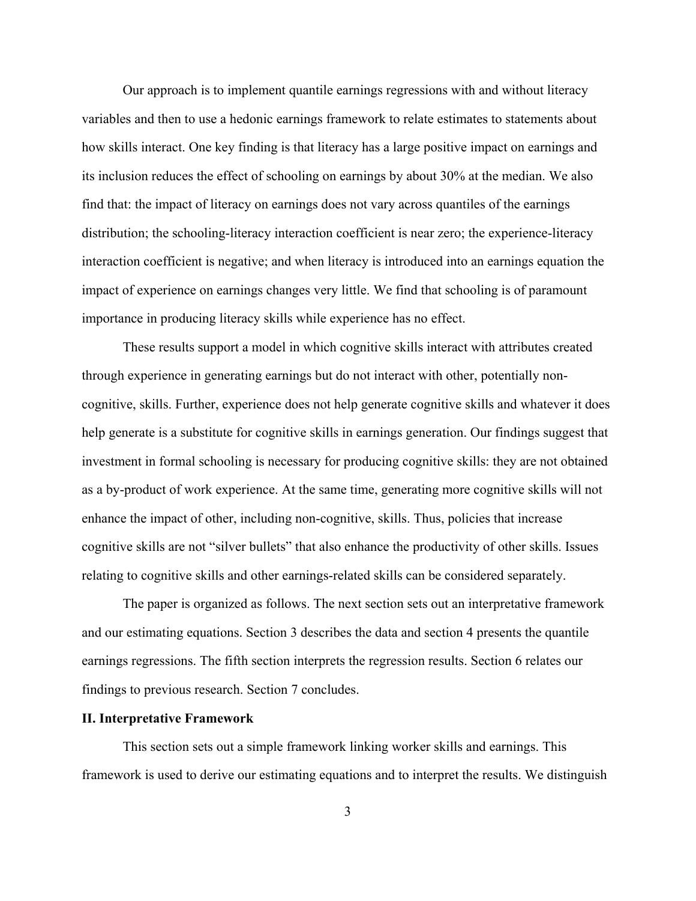Our approach is to implement quantile earnings regressions with and without literacy variables and then to use a hedonic earnings framework to relate estimates to statements about how skills interact. One key finding is that literacy has a large positive impact on earnings and its inclusion reduces the effect of schooling on earnings by about 30% at the median. We also find that: the impact of literacy on earnings does not vary across quantiles of the earnings distribution; the schooling-literacy interaction coefficient is near zero; the experience-literacy interaction coefficient is negative; and when literacy is introduced into an earnings equation the impact of experience on earnings changes very little. We find that schooling is of paramount importance in producing literacy skills while experience has no effect.

These results support a model in which cognitive skills interact with attributes created through experience in generating earnings but do not interact with other, potentially noncognitive, skills. Further, experience does not help generate cognitive skills and whatever it does help generate is a substitute for cognitive skills in earnings generation. Our findings suggest that investment in formal schooling is necessary for producing cognitive skills: they are not obtained as a by-product of work experience. At the same time, generating more cognitive skills will not enhance the impact of other, including non-cognitive, skills. Thus, policies that increase cognitive skills are not "silver bullets" that also enhance the productivity of other skills. Issues relating to cognitive skills and other earnings-related skills can be considered separately.

The paper is organized as follows. The next section sets out an interpretative framework and our estimating equations. Section 3 describes the data and section 4 presents the quantile earnings regressions. The fifth section interprets the regression results. Section 6 relates our findings to previous research. Section 7 concludes.

#### **II. Interpretative Framework**

This section sets out a simple framework linking worker skills and earnings. This framework is used to derive our estimating equations and to interpret the results. We distinguish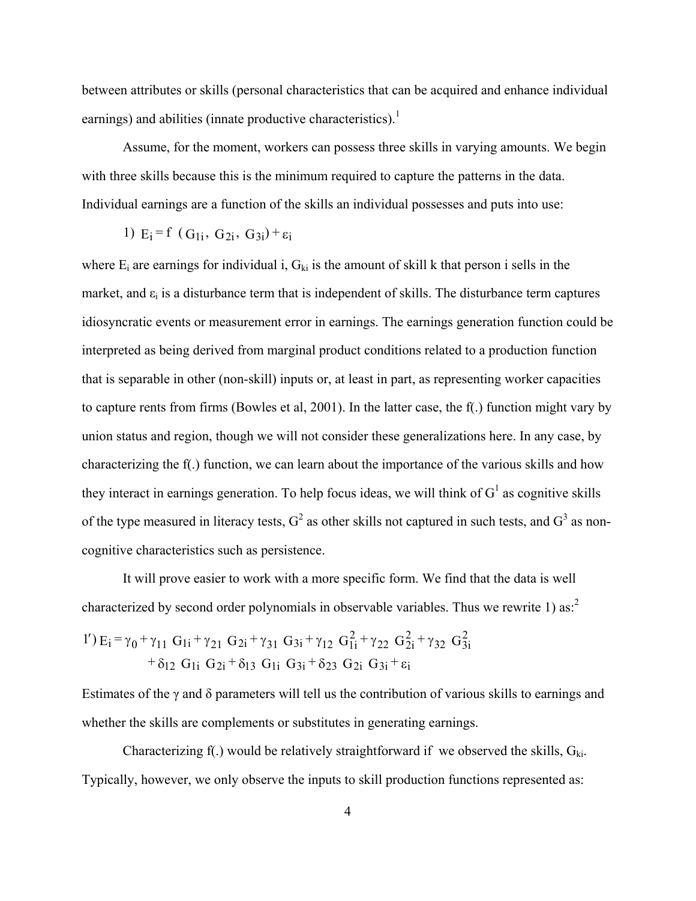between attributes or skills (personal characteristics that can be acquired and enhance individual earnings) and abilities (innate productive characteristics).<sup>1</sup>

Assume, for the moment, workers can possess three skills in varying amounts. We begin with three skills because this is the minimum required to capture the patterns in the data. Individual earnings are a function of the skills an individual possesses and puts into use:

1) 
$$
E_i = f(G_{1i}, G_{2i}, G_{3i}) + \varepsilon_i
$$

where  $E_i$  are earnings for individual i,  $G_{ki}$  is the amount of skill k that person i sells in the market, and  $\varepsilon_i$  is a disturbance term that is independent of skills. The disturbance term captures idiosyncratic events or measurement error in earnings. The earnings generation function could be interpreted as being derived from marginal product conditions related to a production function that is separable in other (non-skill) inputs or, at least in part, as representing worker capacities to capture rents from firms (Bowles et al, 2001). In the latter case, the f(.) function might vary by union status and region, though we will not consider these generalizations here. In any case, by characterizing the f(.) function, we can learn about the importance of the various skills and how they interact in earnings generation. To help focus ideas, we will think of  $G<sup>1</sup>$  as cognitive skills of the type measured in literacy tests,  $G^2$  as other skills not captured in such tests, and  $G^3$  as noncognitive characteristics such as persistence.

It will prove easier to work with a more specific form. We find that the data is well characterized by second order polynomials in observable variables. Thus we rewrite 1) as:<sup>2</sup>

1') 
$$
E_i = \gamma_0 + \gamma_{11} G_{1i} + \gamma_{21} G_{2i} + \gamma_{31} G_{3i} + \gamma_{12} G_{1i}^2 + \gamma_{22} G_{2i}^2 + \gamma_{32} G_{3i}^2
$$
  
+  $\delta_{12} G_{1i} G_{2i} + \delta_{13} G_{1i} G_{3i} + \delta_{23} G_{2i} G_{3i} + \varepsilon_i$ 

Estimates of the γ and δ parameters will tell us the contribution of various skills to earnings and whether the skills are complements or substitutes in generating earnings.

Characterizing f(.) would be relatively straightforward if we observed the skills,  $G_{ki}$ . Typically, however, we only observe the inputs to skill production functions represented as: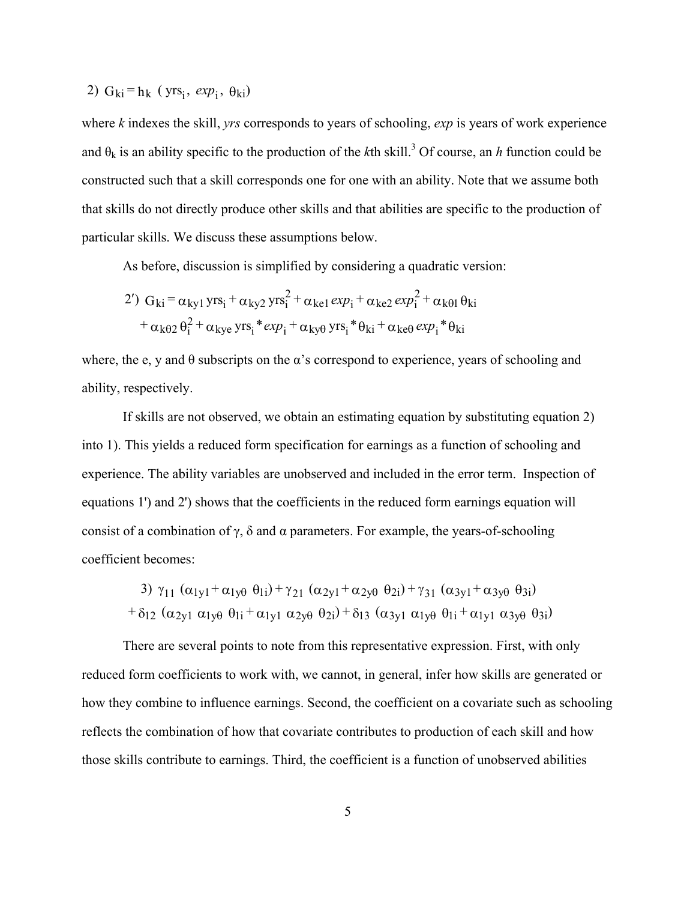2) 
$$
G_{ki} = h_k
$$
 (yrs<sub>i</sub>,  $exp_i$ ,  $\theta_{ki}$ )

where *k* indexes the skill, *yrs* corresponds to years of schooling, *exp* is years of work experience and  $\theta_k$  is an ability specific to the production of the *k*th skill.<sup>3</sup> Of course, an *h* function could be constructed such that a skill corresponds one for one with an ability. Note that we assume both that skills do not directly produce other skills and that abilities are specific to the production of particular skills. We discuss these assumptions below.

As before, discussion is simplified by considering a quadratic version:

2') 
$$
G_{ki} = \alpha_{ky1} yrs_i + \alpha_{ky2} yrs_i^2 + \alpha_{ke1} exp_i + \alpha_{ke2} exp_i^2 + \alpha_{k\theta1} \theta_{ki}
$$
  
+  $\alpha_{k\theta2} \theta_i^2 + \alpha_{kye} yrs_i * exp_i + \alpha_{ky\theta} yrs_i * \theta_{ki} + \alpha_{ke\theta} exp_i * \theta_{ki}$ 

where, the e, y and  $\theta$  subscripts on the  $\alpha$ 's correspond to experience, years of schooling and ability, respectively.

If skills are not observed, we obtain an estimating equation by substituting equation 2) into 1). This yields a reduced form specification for earnings as a function of schooling and experience. The ability variables are unobserved and included in the error term. Inspection of equations 1') and 2') shows that the coefficients in the reduced form earnings equation will consist of a combination of  $\gamma$ ,  $\delta$  and  $\alpha$  parameters. For example, the years-of-schooling coefficient becomes:

3) 
$$
\gamma_{11} (\alpha_{1y1} + \alpha_{1y\theta} \theta_{1i}) + \gamma_{21} (\alpha_{2y1} + \alpha_{2y\theta} \theta_{2i}) + \gamma_{31} (\alpha_{3y1} + \alpha_{3y\theta} \theta_{3i})
$$
  
+  $\delta_{12} (\alpha_{2y1} \alpha_{1y\theta} \theta_{1i} + \alpha_{1y1} \alpha_{2y\theta} \theta_{2i}) + \delta_{13} (\alpha_{3y1} \alpha_{1y\theta} \theta_{1i} + \alpha_{1y1} \alpha_{3y\theta} \theta_{3i})$ 

There are several points to note from this representative expression. First, with only reduced form coefficients to work with, we cannot, in general, infer how skills are generated or how they combine to influence earnings. Second, the coefficient on a covariate such as schooling reflects the combination of how that covariate contributes to production of each skill and how those skills contribute to earnings. Third, the coefficient is a function of unobserved abilities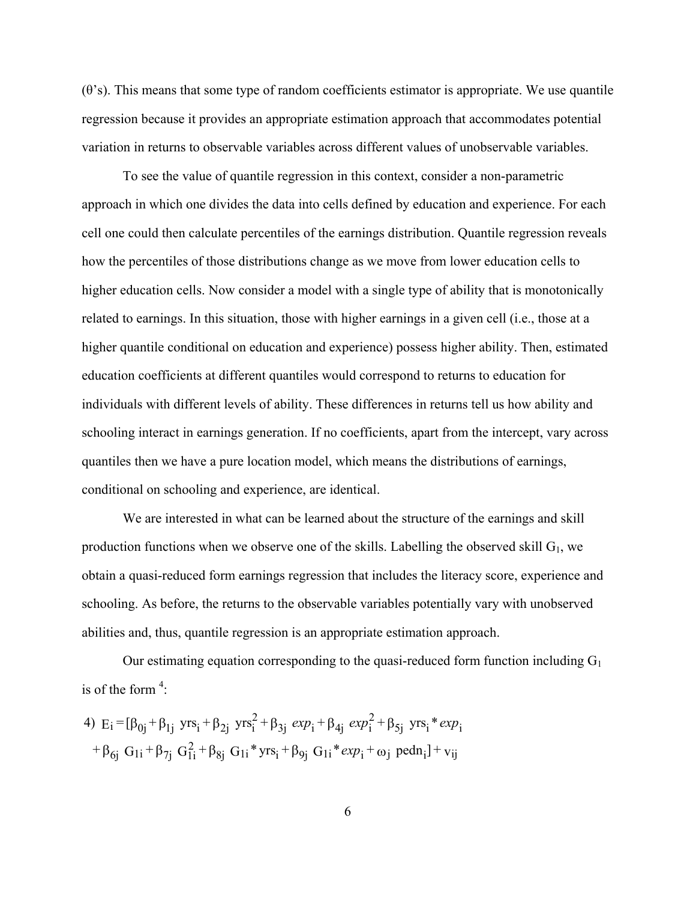$(\theta)$ 's). This means that some type of random coefficients estimator is appropriate. We use quantile regression because it provides an appropriate estimation approach that accommodates potential variation in returns to observable variables across different values of unobservable variables.

To see the value of quantile regression in this context, consider a non-parametric approach in which one divides the data into cells defined by education and experience. For each cell one could then calculate percentiles of the earnings distribution. Quantile regression reveals how the percentiles of those distributions change as we move from lower education cells to higher education cells. Now consider a model with a single type of ability that is monotonically related to earnings. In this situation, those with higher earnings in a given cell (i.e., those at a higher quantile conditional on education and experience) possess higher ability. Then, estimated education coefficients at different quantiles would correspond to returns to education for individuals with different levels of ability. These differences in returns tell us how ability and schooling interact in earnings generation. If no coefficients, apart from the intercept, vary across quantiles then we have a pure location model, which means the distributions of earnings, conditional on schooling and experience, are identical.

We are interested in what can be learned about the structure of the earnings and skill production functions when we observe one of the skills. Labelling the observed skill  $G_1$ , we obtain a quasi-reduced form earnings regression that includes the literacy score, experience and schooling. As before, the returns to the observable variables potentially vary with unobserved abilities and, thus, quantile regression is an appropriate estimation approach.

Our estimating equation corresponding to the quasi-reduced form function including  $G_1$ is of the form  $4$ :

4) 
$$
E_i = [\beta_{0j} + \beta_{1j} \text{ yrs}_i + \beta_{2j} \text{ yrs}_i^2 + \beta_{3j} \text{ exp}_i + \beta_{4j} \text{ exp}_i^2 + \beta_{5j} \text{ yrs}_i * \text{ exp}_i + \beta_{6j} \text{ G}_{1i} + \beta_{7j} \text{ G}_{1i}^2 + \beta_{8j} \text{ G}_{1i} * \text{ yrs}_i + \beta_{9j} \text{ G}_{1i} * \text{ exp}_i + \omega_j \text{ pedn}_i] + v_{ij}
$$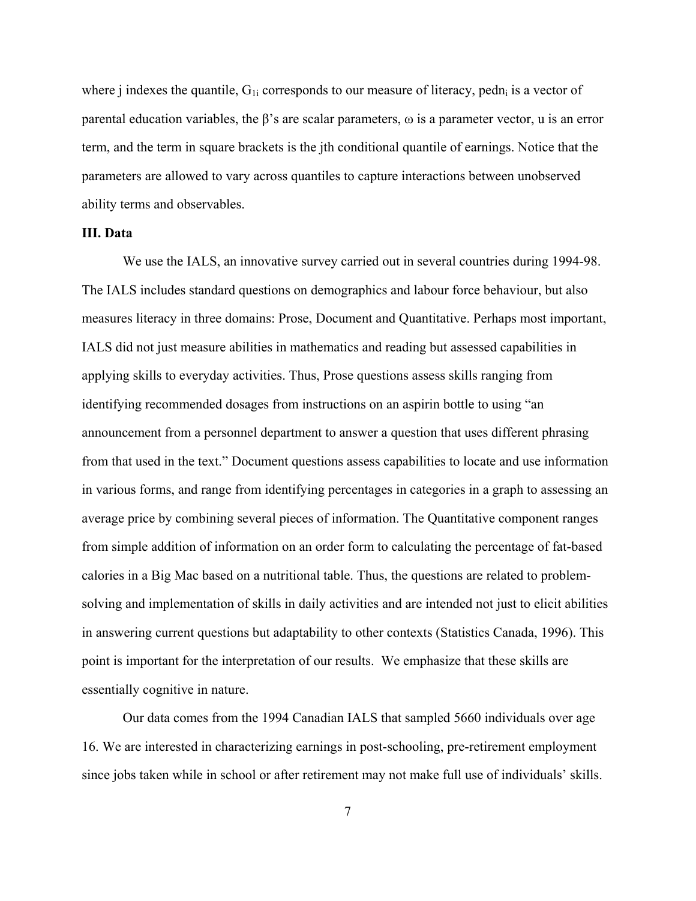where j indexes the quantile,  $G_{1i}$  corresponds to our measure of literacy, pedn<sub>i</sub> is a vector of parental education variables, the  $\beta$ 's are scalar parameters,  $\omega$  is a parameter vector, u is an error term, and the term in square brackets is the jth conditional quantile of earnings. Notice that the parameters are allowed to vary across quantiles to capture interactions between unobserved ability terms and observables.

# **III. Data**

We use the IALS, an innovative survey carried out in several countries during 1994-98. The IALS includes standard questions on demographics and labour force behaviour, but also measures literacy in three domains: Prose, Document and Quantitative. Perhaps most important, IALS did not just measure abilities in mathematics and reading but assessed capabilities in applying skills to everyday activities. Thus, Prose questions assess skills ranging from identifying recommended dosages from instructions on an aspirin bottle to using "an announcement from a personnel department to answer a question that uses different phrasing from that used in the text." Document questions assess capabilities to locate and use information in various forms, and range from identifying percentages in categories in a graph to assessing an average price by combining several pieces of information. The Quantitative component ranges from simple addition of information on an order form to calculating the percentage of fat-based calories in a Big Mac based on a nutritional table. Thus, the questions are related to problemsolving and implementation of skills in daily activities and are intended not just to elicit abilities in answering current questions but adaptability to other contexts (Statistics Canada, 1996). This point is important for the interpretation of our results. We emphasize that these skills are essentially cognitive in nature.

Our data comes from the 1994 Canadian IALS that sampled 5660 individuals over age 16. We are interested in characterizing earnings in post-schooling, pre-retirement employment since jobs taken while in school or after retirement may not make full use of individuals' skills.

7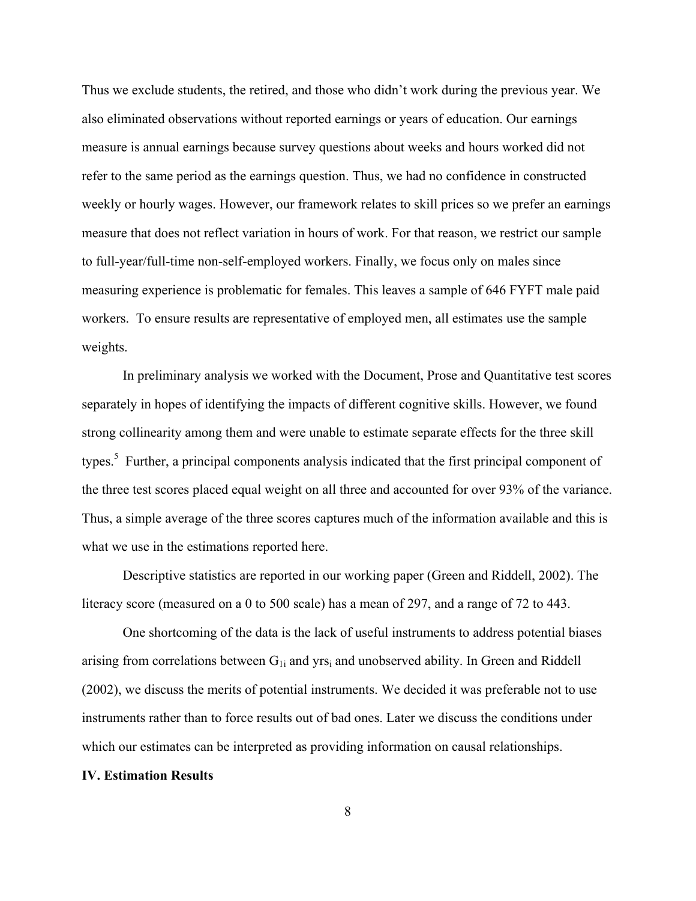Thus we exclude students, the retired, and those who didn't work during the previous year. We also eliminated observations without reported earnings or years of education. Our earnings measure is annual earnings because survey questions about weeks and hours worked did not refer to the same period as the earnings question. Thus, we had no confidence in constructed weekly or hourly wages. However, our framework relates to skill prices so we prefer an earnings measure that does not reflect variation in hours of work. For that reason, we restrict our sample to full-year/full-time non-self-employed workers. Finally, we focus only on males since measuring experience is problematic for females. This leaves a sample of 646 FYFT male paid workers. To ensure results are representative of employed men, all estimates use the sample weights.

In preliminary analysis we worked with the Document, Prose and Quantitative test scores separately in hopes of identifying the impacts of different cognitive skills. However, we found strong collinearity among them and were unable to estimate separate effects for the three skill types.<sup>5</sup> Further, a principal components analysis indicated that the first principal component of the three test scores placed equal weight on all three and accounted for over 93% of the variance. Thus, a simple average of the three scores captures much of the information available and this is what we use in the estimations reported here.

Descriptive statistics are reported in our working paper (Green and Riddell, 2002). The literacy score (measured on a 0 to 500 scale) has a mean of 297, and a range of 72 to 443.

One shortcoming of the data is the lack of useful instruments to address potential biases arising from correlations between  $G_{1i}$  and yrs<sub>i</sub> and unobserved ability. In Green and Riddell (2002), we discuss the merits of potential instruments. We decided it was preferable not to use instruments rather than to force results out of bad ones. Later we discuss the conditions under which our estimates can be interpreted as providing information on causal relationships.

## **IV. Estimation Results**

8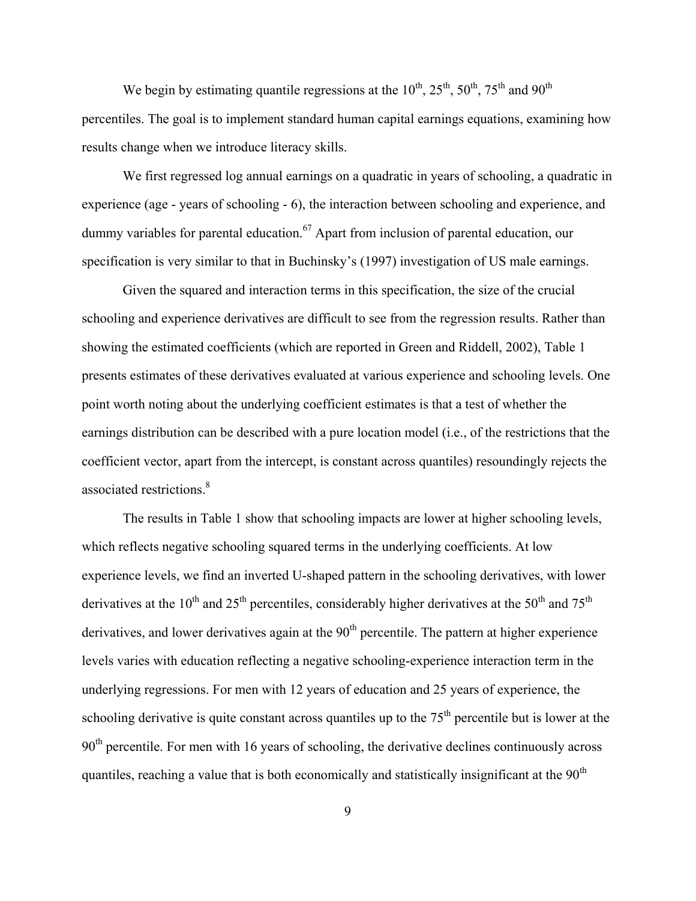We begin by estimating quantile regressions at the  $10^{th}$ ,  $25^{th}$ ,  $50^{th}$ ,  $75^{th}$  and  $90^{th}$ percentiles. The goal is to implement standard human capital earnings equations, examining how results change when we introduce literacy skills.

We first regressed log annual earnings on a quadratic in years of schooling, a quadratic in experience (age - years of schooling - 6), the interaction between schooling and experience, and dummy variables for parental education.<sup>67</sup> Apart from inclusion of parental education, our specification is very similar to that in Buchinsky's (1997) investigation of US male earnings.

Given the squared and interaction terms in this specification, the size of the crucial schooling and experience derivatives are difficult to see from the regression results. Rather than showing the estimated coefficients (which are reported in Green and Riddell, 2002), Table 1 presents estimates of these derivatives evaluated at various experience and schooling levels. One point worth noting about the underlying coefficient estimates is that a test of whether the earnings distribution can be described with a pure location model (i.e., of the restrictions that the coefficient vector, apart from the intercept, is constant across quantiles) resoundingly rejects the associated restrictions.<sup>8</sup>

The results in Table 1 show that schooling impacts are lower at higher schooling levels, which reflects negative schooling squared terms in the underlying coefficients. At low experience levels, we find an inverted U-shaped pattern in the schooling derivatives, with lower derivatives at the 10<sup>th</sup> and 25<sup>th</sup> percentiles, considerably higher derivatives at the 50<sup>th</sup> and 75<sup>th</sup> derivatives, and lower derivatives again at the  $90<sup>th</sup>$  percentile. The pattern at higher experience levels varies with education reflecting a negative schooling-experience interaction term in the underlying regressions. For men with 12 years of education and 25 years of experience, the schooling derivative is quite constant across quantiles up to the  $75<sup>th</sup>$  percentile but is lower at the 90<sup>th</sup> percentile. For men with 16 years of schooling, the derivative declines continuously across quantiles, reaching a value that is both economically and statistically insignificant at the  $90<sup>th</sup>$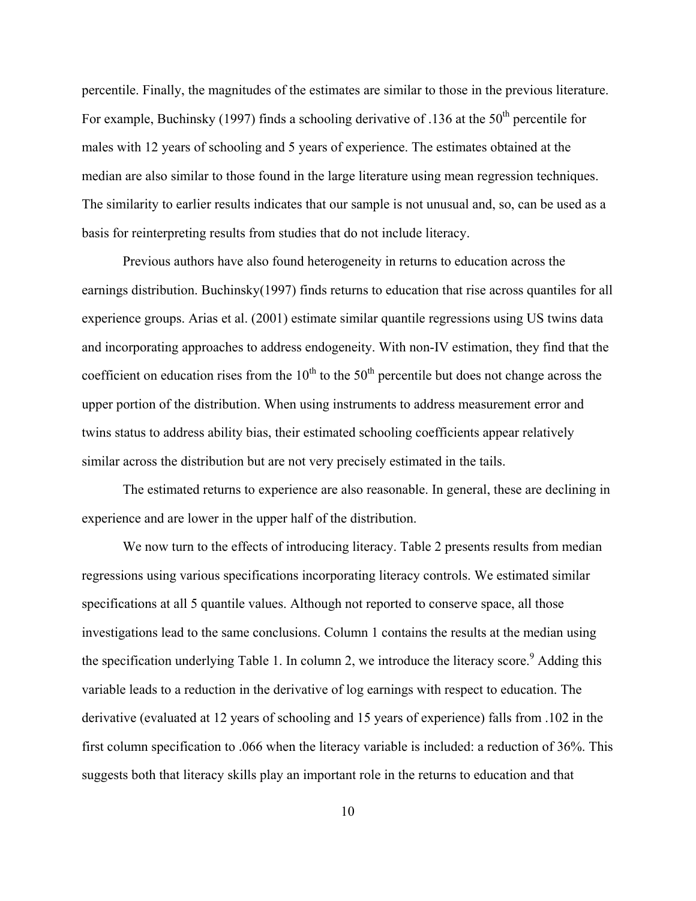percentile. Finally, the magnitudes of the estimates are similar to those in the previous literature. For example, Buchinsky (1997) finds a schooling derivative of .136 at the  $50<sup>th</sup>$  percentile for males with 12 years of schooling and 5 years of experience. The estimates obtained at the median are also similar to those found in the large literature using mean regression techniques. The similarity to earlier results indicates that our sample is not unusual and, so, can be used as a basis for reinterpreting results from studies that do not include literacy.

Previous authors have also found heterogeneity in returns to education across the earnings distribution. Buchinsky(1997) finds returns to education that rise across quantiles for all experience groups. Arias et al. (2001) estimate similar quantile regressions using US twins data and incorporating approaches to address endogeneity. With non-IV estimation, they find that the coefficient on education rises from the  $10<sup>th</sup>$  to the 50<sup>th</sup> percentile but does not change across the upper portion of the distribution. When using instruments to address measurement error and twins status to address ability bias, their estimated schooling coefficients appear relatively similar across the distribution but are not very precisely estimated in the tails.

The estimated returns to experience are also reasonable. In general, these are declining in experience and are lower in the upper half of the distribution.

We now turn to the effects of introducing literacy. Table 2 presents results from median regressions using various specifications incorporating literacy controls. We estimated similar specifications at all 5 quantile values. Although not reported to conserve space, all those investigations lead to the same conclusions. Column 1 contains the results at the median using the specification underlying Table 1. In column 2, we introduce the literacy score.<sup>9</sup> Adding this variable leads to a reduction in the derivative of log earnings with respect to education. The derivative (evaluated at 12 years of schooling and 15 years of experience) falls from .102 in the first column specification to .066 when the literacy variable is included: a reduction of 36%. This suggests both that literacy skills play an important role in the returns to education and that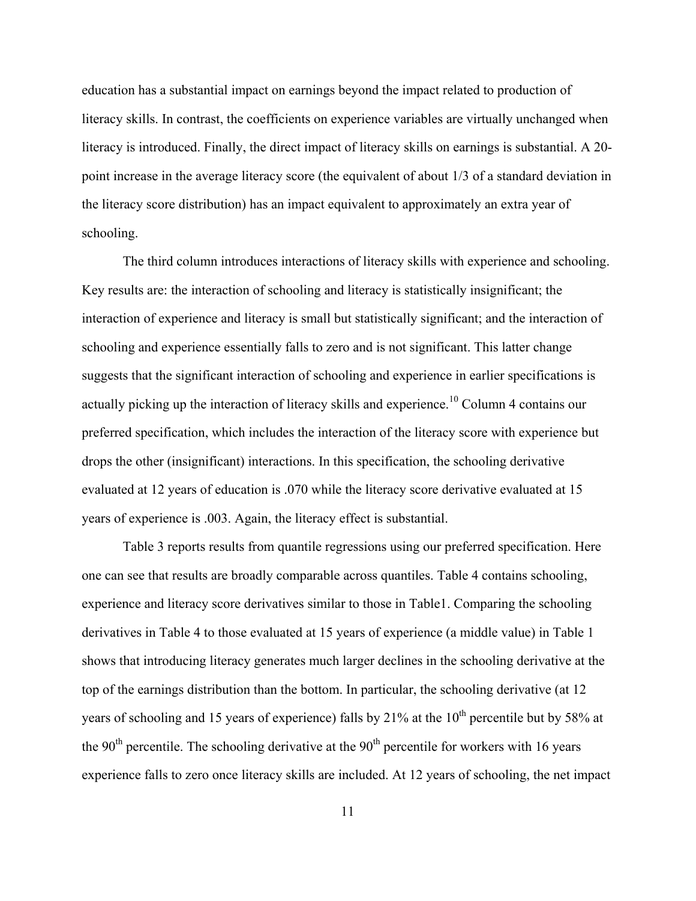education has a substantial impact on earnings beyond the impact related to production of literacy skills. In contrast, the coefficients on experience variables are virtually unchanged when literacy is introduced. Finally, the direct impact of literacy skills on earnings is substantial. A 20 point increase in the average literacy score (the equivalent of about 1/3 of a standard deviation in the literacy score distribution) has an impact equivalent to approximately an extra year of schooling.

The third column introduces interactions of literacy skills with experience and schooling. Key results are: the interaction of schooling and literacy is statistically insignificant; the interaction of experience and literacy is small but statistically significant; and the interaction of schooling and experience essentially falls to zero and is not significant. This latter change suggests that the significant interaction of schooling and experience in earlier specifications is actually picking up the interaction of literacy skills and experience.<sup>10</sup> Column 4 contains our preferred specification, which includes the interaction of the literacy score with experience but drops the other (insignificant) interactions. In this specification, the schooling derivative evaluated at 12 years of education is .070 while the literacy score derivative evaluated at 15 years of experience is .003. Again, the literacy effect is substantial.

Table 3 reports results from quantile regressions using our preferred specification. Here one can see that results are broadly comparable across quantiles. Table 4 contains schooling, experience and literacy score derivatives similar to those in Table1. Comparing the schooling derivatives in Table 4 to those evaluated at 15 years of experience (a middle value) in Table 1 shows that introducing literacy generates much larger declines in the schooling derivative at the top of the earnings distribution than the bottom. In particular, the schooling derivative (at 12 years of schooling and 15 years of experience) falls by  $21\%$  at the  $10<sup>th</sup>$  percentile but by 58% at the  $90<sup>th</sup>$  percentile. The schooling derivative at the  $90<sup>th</sup>$  percentile for workers with 16 years experience falls to zero once literacy skills are included. At 12 years of schooling, the net impact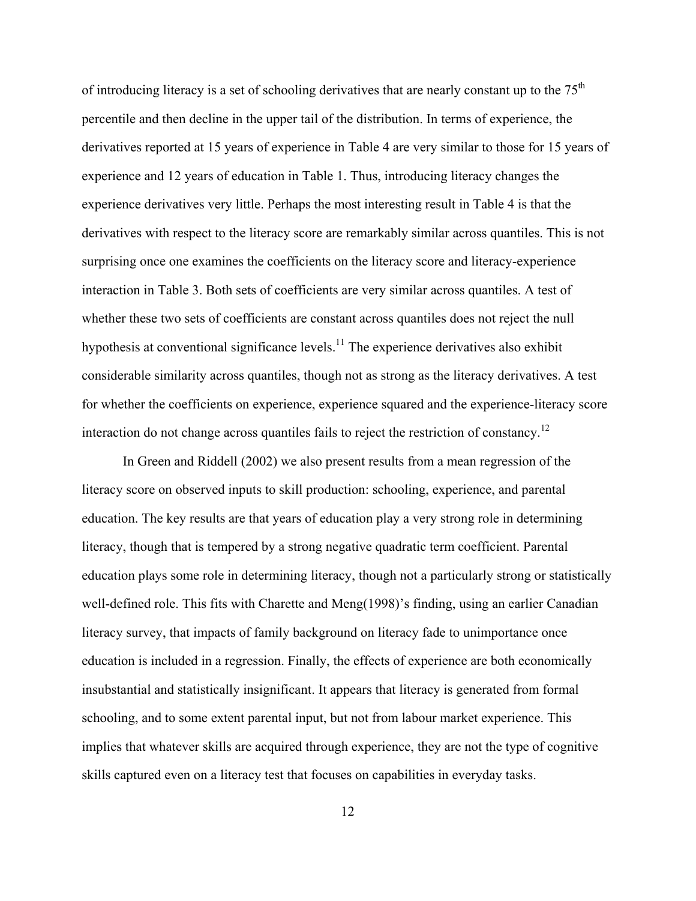of introducing literacy is a set of schooling derivatives that are nearly constant up to the  $75<sup>th</sup>$ percentile and then decline in the upper tail of the distribution. In terms of experience, the derivatives reported at 15 years of experience in Table 4 are very similar to those for 15 years of experience and 12 years of education in Table 1. Thus, introducing literacy changes the experience derivatives very little. Perhaps the most interesting result in Table 4 is that the derivatives with respect to the literacy score are remarkably similar across quantiles. This is not surprising once one examines the coefficients on the literacy score and literacy-experience interaction in Table 3. Both sets of coefficients are very similar across quantiles. A test of whether these two sets of coefficients are constant across quantiles does not reject the null hypothesis at conventional significance levels.<sup>11</sup> The experience derivatives also exhibit considerable similarity across quantiles, though not as strong as the literacy derivatives. A test for whether the coefficients on experience, experience squared and the experience-literacy score interaction do not change across quantiles fails to reject the restriction of constancy.<sup>12</sup>

In Green and Riddell (2002) we also present results from a mean regression of the literacy score on observed inputs to skill production: schooling, experience, and parental education. The key results are that years of education play a very strong role in determining literacy, though that is tempered by a strong negative quadratic term coefficient. Parental education plays some role in determining literacy, though not a particularly strong or statistically well-defined role. This fits with Charette and Meng(1998)'s finding, using an earlier Canadian literacy survey, that impacts of family background on literacy fade to unimportance once education is included in a regression. Finally, the effects of experience are both economically insubstantial and statistically insignificant. It appears that literacy is generated from formal schooling, and to some extent parental input, but not from labour market experience. This implies that whatever skills are acquired through experience, they are not the type of cognitive skills captured even on a literacy test that focuses on capabilities in everyday tasks.

12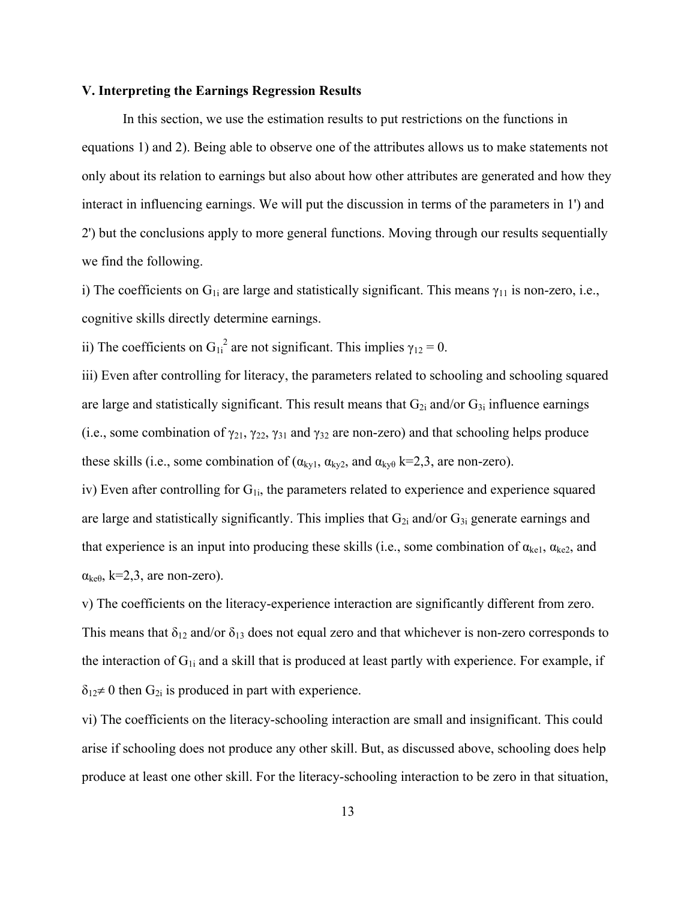#### **V. Interpreting the Earnings Regression Results**

In this section, we use the estimation results to put restrictions on the functions in equations 1) and 2). Being able to observe one of the attributes allows us to make statements not only about its relation to earnings but also about how other attributes are generated and how they interact in influencing earnings. We will put the discussion in terms of the parameters in 1') and 2') but the conclusions apply to more general functions. Moving through our results sequentially we find the following.

i) The coefficients on  $G_{1i}$  are large and statistically significant. This means  $\gamma_{11}$  is non-zero, i.e., cognitive skills directly determine earnings.

ii) The coefficients on  $G_{1i}^2$  are not significant. This implies  $\gamma_{12} = 0$ .

iii) Even after controlling for literacy, the parameters related to schooling and schooling squared are large and statistically significant. This result means that  $G_{2i}$  and/or  $G_{3i}$  influence earnings (i.e., some combination of  $\gamma_{21}$ ,  $\gamma_{22}$ ,  $\gamma_{31}$  and  $\gamma_{32}$  are non-zero) and that schooling helps produce these skills (i.e., some combination of ( $\alpha_{kyl}$ ,  $\alpha_{kyl}$ , and  $\alpha_{kyl}$  k=2,3, are non-zero).

iv) Even after controlling for  $G_{1i}$ , the parameters related to experience and experience squared are large and statistically significantly. This implies that  $G_{2i}$  and/or  $G_{3i}$  generate earnings and that experience is an input into producing these skills (i.e., some combination of  $\alpha_{\text{kel}}$ ,  $\alpha_{\text{ke2}}$ , and  $\alpha_{\text{ke}\theta}$ , k=2,3, are non-zero).

v) The coefficients on the literacy-experience interaction are significantly different from zero. This means that  $\delta_{12}$  and/or  $\delta_{13}$  does not equal zero and that whichever is non-zero corresponds to the interaction of  $G_{1i}$  and a skill that is produced at least partly with experience. For example, if  $\delta_{12} \neq 0$  then  $G_{2i}$  is produced in part with experience.

vi) The coefficients on the literacy-schooling interaction are small and insignificant. This could arise if schooling does not produce any other skill. But, as discussed above, schooling does help produce at least one other skill. For the literacy-schooling interaction to be zero in that situation,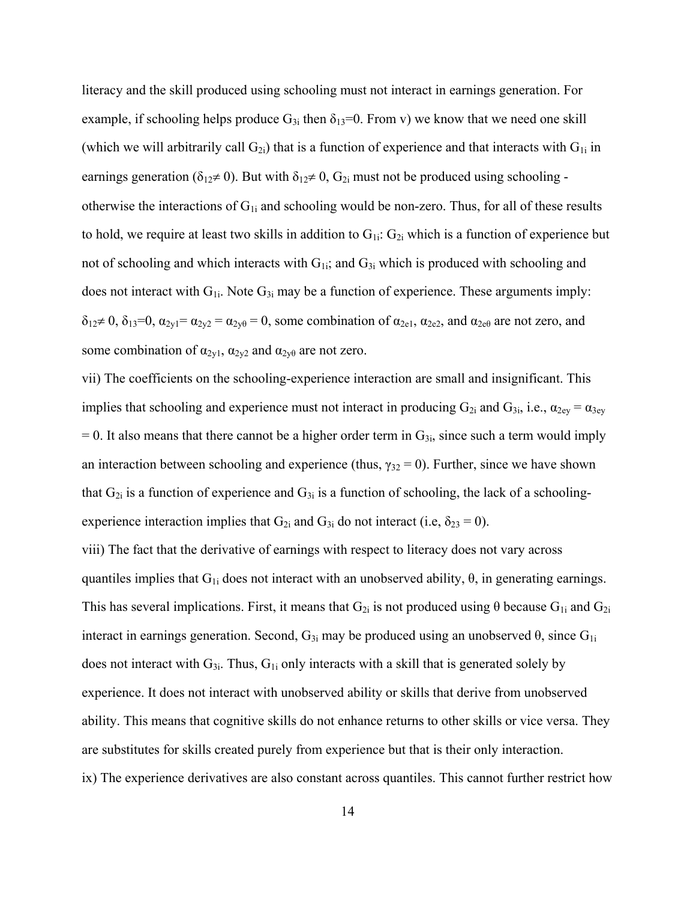literacy and the skill produced using schooling must not interact in earnings generation. For example, if schooling helps produce  $G_{3i}$  then  $\delta_{13}=0$ . From v) we know that we need one skill (which we will arbitrarily call  $G_{2i}$ ) that is a function of experience and that interacts with  $G_{1i}$  in earnings generation ( $\delta_{12} \neq 0$ ). But with  $\delta_{12} \neq 0$ ,  $G_{2i}$  must not be produced using schooling otherwise the interactions of  $G_{1i}$  and schooling would be non-zero. Thus, for all of these results to hold, we require at least two skills in addition to  $G_{1i}: G_{2i}$  which is a function of experience but not of schooling and which interacts with  $G_{1i}$ ; and  $G_{3i}$  which is produced with schooling and does not interact with  $G_{1i}$ . Note  $G_{3i}$  may be a function of experience. These arguments imply:  $\delta_{12} \neq 0$ ,  $\delta_{13}=0$ ,  $\alpha_{2y1}=\alpha_{2y2}=\alpha_{2y\theta}=0$ , some combination of  $\alpha_{2e1}$ ,  $\alpha_{2e2}$ , and  $\alpha_{2e\theta}$  are not zero, and some combination of  $\alpha_{2v1}$ ,  $\alpha_{2v2}$  and  $\alpha_{2v\theta}$  are not zero.

vii) The coefficients on the schooling-experience interaction are small and insignificant. This implies that schooling and experience must not interact in producing  $G_{2i}$  and  $G_{3i}$ , i.e.,  $\alpha_{2ey} = \alpha_{3ey}$  $= 0$ . It also means that there cannot be a higher order term in  $G_{3i}$ , since such a term would imply an interaction between schooling and experience (thus,  $\gamma_{32} = 0$ ). Further, since we have shown that  $G_{2i}$  is a function of experience and  $G_{3i}$  is a function of schooling, the lack of a schoolingexperience interaction implies that  $G_{2i}$  and  $G_{3i}$  do not interact (i.e,  $\delta_{23} = 0$ ).

viii) The fact that the derivative of earnings with respect to literacy does not vary across quantiles implies that  $G_{1i}$  does not interact with an unobserved ability,  $\theta$ , in generating earnings. This has several implications. First, it means that  $G_{2i}$  is not produced using  $\theta$  because  $G_{1i}$  and  $G_{2i}$ interact in earnings generation. Second,  $G_{3i}$  may be produced using an unobserved  $\theta$ , since  $G_{1i}$ does not interact with  $G_{3i}$ . Thus,  $G_{1i}$  only interacts with a skill that is generated solely by experience. It does not interact with unobserved ability or skills that derive from unobserved ability. This means that cognitive skills do not enhance returns to other skills or vice versa. They are substitutes for skills created purely from experience but that is their only interaction. ix) The experience derivatives are also constant across quantiles. This cannot further restrict how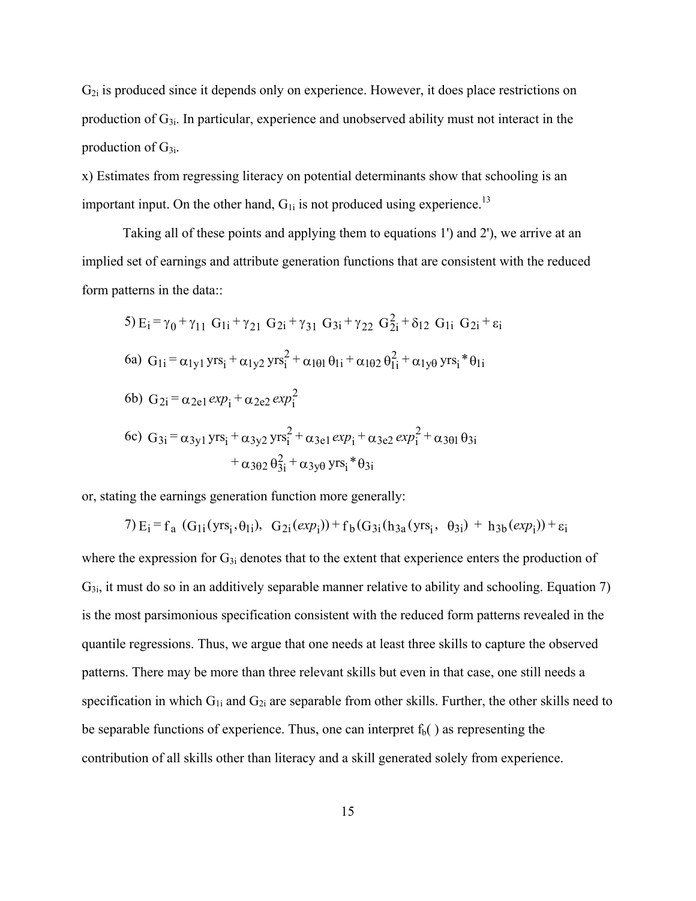$G_{2i}$  is produced since it depends only on experience. However, it does place restrictions on production of  $G_{3i}$ . In particular, experience and unobserved ability must not interact in the production of  $G_{3i}$ .

x) Estimates from regressing literacy on potential determinants show that schooling is an important input. On the other hand,  $G_{1i}$  is not produced using experience.<sup>13</sup>

Taking all of these points and applying them to equations 1') and 2'), we arrive at an implied set of earnings and attribute generation functions that are consistent with the reduced form patterns in the data::

5) 
$$
E_i = \gamma_0 + \gamma_{11} G_{1i} + \gamma_{21} G_{2i} + \gamma_{31} G_{3i} + \gamma_{22} G_{2i}^2 + \delta_{12} G_{1i} G_{2i} + \varepsilon_i
$$
  
\n6a)  $G_{1i} = \alpha_{1y1} yrs_i + \alpha_{1y2} yrs_i^2 + \alpha_{101} \theta_{1i} + \alpha_{102} \theta_{1i}^2 + \alpha_{1y0} yrs_i^* \theta_{1i}$   
\n6b)  $G_{2i} = \alpha_{2e1} exp_i + \alpha_{2e2} exp_i^2$   
\n6c)  $G_{3i} = \alpha_{3y1} yrs_i + \alpha_{3y2} yrs_i^2 + \alpha_{3e1} exp_i + \alpha_{3e2} exp_i^2 + \alpha_{301} \theta_{3i} + \alpha_{302} \theta_{3i}^2 + \alpha_{3y0} yrs_i^* \theta_{3i}$ 

or, stating the earnings generation function more generally:

7) 
$$
E_i = f_a
$$
 (G<sub>1i</sub>(yrs<sub>i</sub>, θ<sub>1i</sub>), G<sub>2i</sub>(exp<sub>i</sub>)) + f<sub>b</sub>(G<sub>3i</sub>(h<sub>3a</sub>(yrs<sub>i</sub>, θ<sub>3i</sub>) + h<sub>3b</sub>(exp<sub>i</sub>)) + ε<sub>i</sub>

where the expression for  $G_{3i}$  denotes that to the extent that experience enters the production of  $G_{3i}$ , it must do so in an additively separable manner relative to ability and schooling. Equation 7) is the most parsimonious specification consistent with the reduced form patterns revealed in the quantile regressions. Thus, we argue that one needs at least three skills to capture the observed patterns. There may be more than three relevant skills but even in that case, one still needs a specification in which  $G_{1i}$  and  $G_{2i}$  are separable from other skills. Further, the other skills need to be separable functions of experience. Thus, one can interpret  $f<sub>b</sub>($ ) as representing the contribution of all skills other than literacy and a skill generated solely from experience.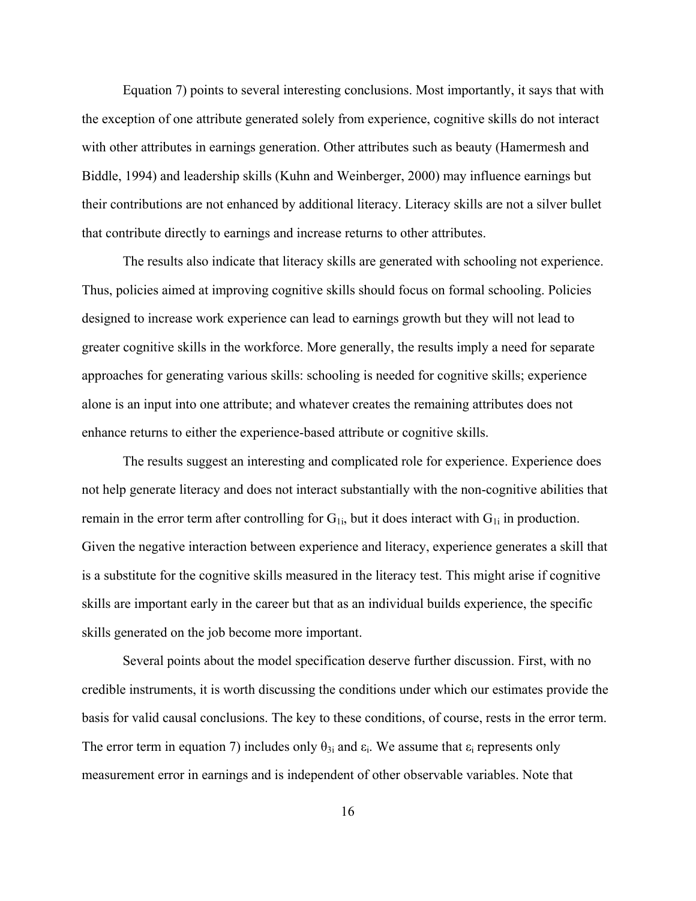Equation 7) points to several interesting conclusions. Most importantly, it says that with the exception of one attribute generated solely from experience, cognitive skills do not interact with other attributes in earnings generation. Other attributes such as beauty (Hamermesh and Biddle, 1994) and leadership skills (Kuhn and Weinberger, 2000) may influence earnings but their contributions are not enhanced by additional literacy. Literacy skills are not a silver bullet that contribute directly to earnings and increase returns to other attributes.

The results also indicate that literacy skills are generated with schooling not experience. Thus, policies aimed at improving cognitive skills should focus on formal schooling. Policies designed to increase work experience can lead to earnings growth but they will not lead to greater cognitive skills in the workforce. More generally, the results imply a need for separate approaches for generating various skills: schooling is needed for cognitive skills; experience alone is an input into one attribute; and whatever creates the remaining attributes does not enhance returns to either the experience-based attribute or cognitive skills.

The results suggest an interesting and complicated role for experience. Experience does not help generate literacy and does not interact substantially with the non-cognitive abilities that remain in the error term after controlling for  $G_{1i}$ , but it does interact with  $G_{1i}$  in production. Given the negative interaction between experience and literacy, experience generates a skill that is a substitute for the cognitive skills measured in the literacy test. This might arise if cognitive skills are important early in the career but that as an individual builds experience, the specific skills generated on the job become more important.

Several points about the model specification deserve further discussion. First, with no credible instruments, it is worth discussing the conditions under which our estimates provide the basis for valid causal conclusions. The key to these conditions, of course, rests in the error term. The error term in equation 7) includes only  $\theta_{3i}$  and  $\varepsilon_i$ . We assume that  $\varepsilon_i$  represents only measurement error in earnings and is independent of other observable variables. Note that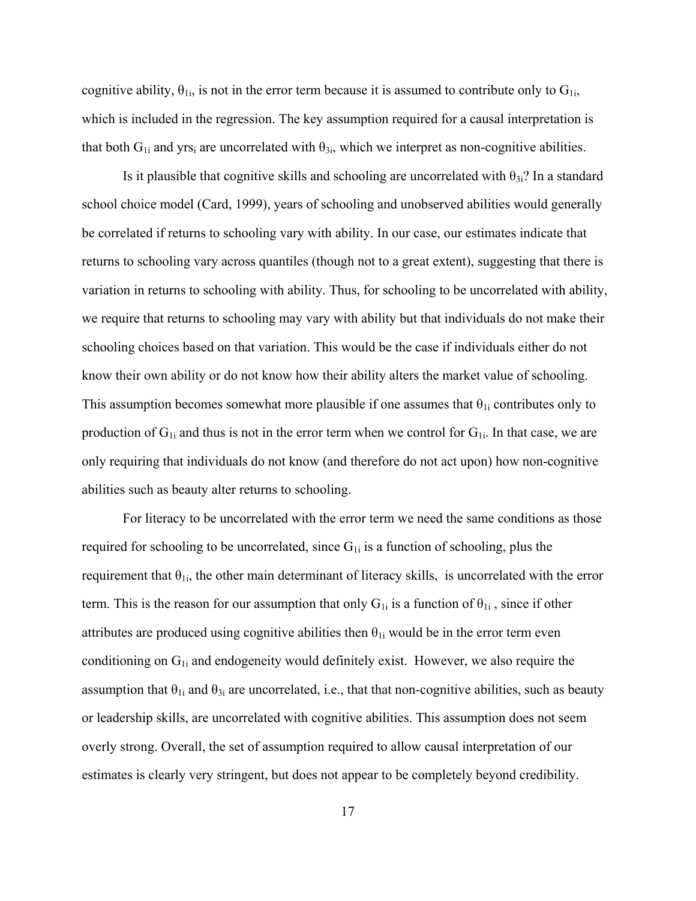cognitive ability,  $\theta_{1i}$ , is not in the error term because it is assumed to contribute only to  $G_{1i}$ , which is included in the regression. The key assumption required for a causal interpretation is that both  $G_{1i}$  and yrs<sub>i</sub> are uncorrelated with  $\theta_{3i}$ , which we interpret as non-cognitive abilities.

Is it plausible that cognitive skills and schooling are uncorrelated with  $\theta_{3i}$ ? In a standard school choice model (Card, 1999), years of schooling and unobserved abilities would generally be correlated if returns to schooling vary with ability. In our case, our estimates indicate that returns to schooling vary across quantiles (though not to a great extent), suggesting that there is variation in returns to schooling with ability. Thus, for schooling to be uncorrelated with ability, we require that returns to schooling may vary with ability but that individuals do not make their schooling choices based on that variation. This would be the case if individuals either do not know their own ability or do not know how their ability alters the market value of schooling. This assumption becomes somewhat more plausible if one assumes that  $\theta_{1i}$  contributes only to production of  $G_{1i}$  and thus is not in the error term when we control for  $G_{1i}$ . In that case, we are only requiring that individuals do not know (and therefore do not act upon) how non-cognitive abilities such as beauty alter returns to schooling.

For literacy to be uncorrelated with the error term we need the same conditions as those required for schooling to be uncorrelated, since  $G_{1i}$  is a function of schooling, plus the requirement that  $\theta_{1i}$ , the other main determinant of literacy skills, is uncorrelated with the error term. This is the reason for our assumption that only  $G_{1i}$  is a function of  $\theta_{1i}$ , since if other attributes are produced using cognitive abilities then  $\theta_{1i}$  would be in the error term even conditioning on  $G_{1i}$  and endogeneity would definitely exist. However, we also require the assumption that  $\theta_{1i}$  and  $\theta_{3i}$  are uncorrelated, i.e., that that non-cognitive abilities, such as beauty or leadership skills, are uncorrelated with cognitive abilities. This assumption does not seem overly strong. Overall, the set of assumption required to allow causal interpretation of our estimates is clearly very stringent, but does not appear to be completely beyond credibility.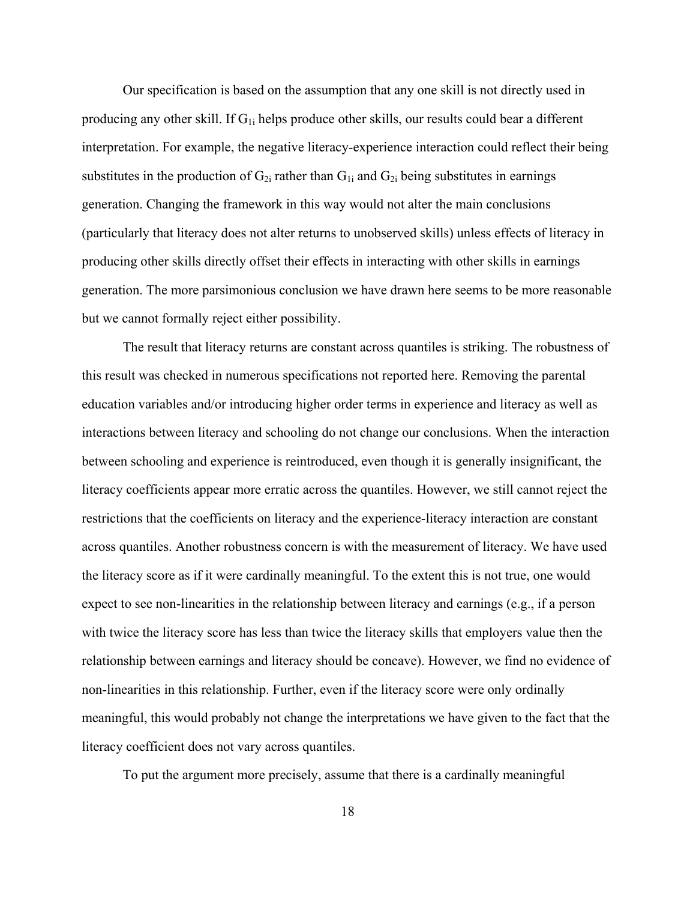Our specification is based on the assumption that any one skill is not directly used in producing any other skill. If  $G_{1i}$  helps produce other skills, our results could bear a different interpretation. For example, the negative literacy-experience interaction could reflect their being substitutes in the production of  $G_{2i}$  rather than  $G_{1i}$  and  $G_{2i}$  being substitutes in earnings generation. Changing the framework in this way would not alter the main conclusions (particularly that literacy does not alter returns to unobserved skills) unless effects of literacy in producing other skills directly offset their effects in interacting with other skills in earnings generation. The more parsimonious conclusion we have drawn here seems to be more reasonable but we cannot formally reject either possibility.

The result that literacy returns are constant across quantiles is striking. The robustness of this result was checked in numerous specifications not reported here. Removing the parental education variables and/or introducing higher order terms in experience and literacy as well as interactions between literacy and schooling do not change our conclusions. When the interaction between schooling and experience is reintroduced, even though it is generally insignificant, the literacy coefficients appear more erratic across the quantiles. However, we still cannot reject the restrictions that the coefficients on literacy and the experience-literacy interaction are constant across quantiles. Another robustness concern is with the measurement of literacy. We have used the literacy score as if it were cardinally meaningful. To the extent this is not true, one would expect to see non-linearities in the relationship between literacy and earnings (e.g., if a person with twice the literacy score has less than twice the literacy skills that employers value then the relationship between earnings and literacy should be concave). However, we find no evidence of non-linearities in this relationship. Further, even if the literacy score were only ordinally meaningful, this would probably not change the interpretations we have given to the fact that the literacy coefficient does not vary across quantiles.

To put the argument more precisely, assume that there is a cardinally meaningful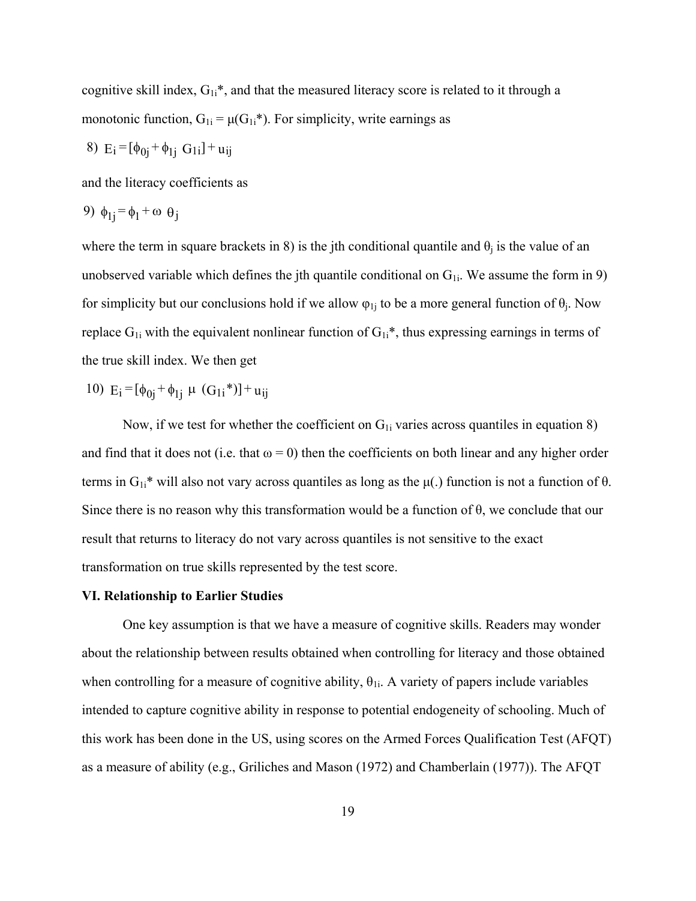cognitive skill index,  $G_{1i}$ <sup>\*</sup>, and that the measured literacy score is related to it through a monotonic function,  $G_{1i} = \mu(G_{1i}^*)$ . For simplicity, write earnings as

8) 
$$
E_i = [\phi_{0j} + \phi_{1j} \ G_{1i}] + u_{ij}
$$

and the literacy coefficients as

9) 
$$
\phi_{1j} = \phi_1 + \omega \theta_j
$$

where the term in square brackets in 8) is the jth conditional quantile and  $\theta_i$  is the value of an unobserved variable which defines the jth quantile conditional on  $G_{1i}$ . We assume the form in 9) for simplicity but our conclusions hold if we allow  $\varphi_{1j}$  to be a more general function of  $\theta_j$ . Now replace  $G_{1i}$  with the equivalent nonlinear function of  $G_{1i}$ \*, thus expressing earnings in terms of the true skill index. We then get

10)  $E_i = [\phi_{0i} + \phi_{1i} \mu (G_{1i}^*)] + u_{ij}$ 

Now, if we test for whether the coefficient on  $G_{1i}$  varies across quantiles in equation 8) and find that it does not (i.e. that  $\omega = 0$ ) then the coefficients on both linear and any higher order terms in  $G_{1i}$ <sup>\*</sup> will also not vary across quantiles as long as the  $\mu(.)$  function is not a function of  $\theta$ . Since there is no reason why this transformation would be a function of θ, we conclude that our result that returns to literacy do not vary across quantiles is not sensitive to the exact transformation on true skills represented by the test score.

### **VI. Relationship to Earlier Studies**

One key assumption is that we have a measure of cognitive skills. Readers may wonder about the relationship between results obtained when controlling for literacy and those obtained when controlling for a measure of cognitive ability,  $\theta_{1i}$ . A variety of papers include variables intended to capture cognitive ability in response to potential endogeneity of schooling. Much of this work has been done in the US, using scores on the Armed Forces Qualification Test (AFQT) as a measure of ability (e.g., Griliches and Mason (1972) and Chamberlain (1977)). The AFQT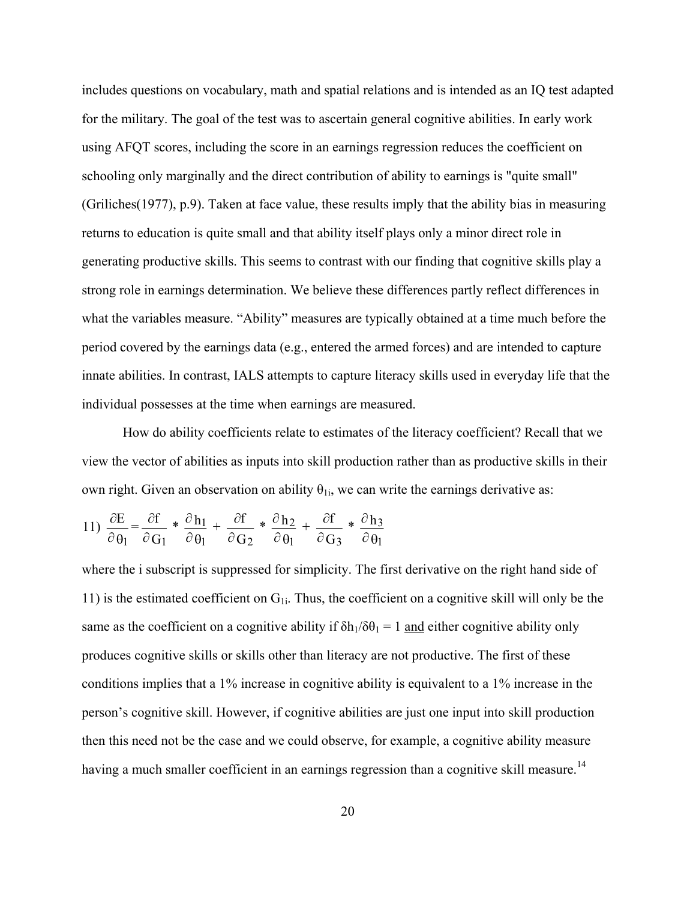includes questions on vocabulary, math and spatial relations and is intended as an IQ test adapted for the military. The goal of the test was to ascertain general cognitive abilities. In early work using AFQT scores, including the score in an earnings regression reduces the coefficient on schooling only marginally and the direct contribution of ability to earnings is "quite small" (Griliches(1977), p.9). Taken at face value, these results imply that the ability bias in measuring returns to education is quite small and that ability itself plays only a minor direct role in generating productive skills. This seems to contrast with our finding that cognitive skills play a strong role in earnings determination. We believe these differences partly reflect differences in what the variables measure. "Ability" measures are typically obtained at a time much before the period covered by the earnings data (e.g., entered the armed forces) and are intended to capture innate abilities. In contrast, IALS attempts to capture literacy skills used in everyday life that the individual possesses at the time when earnings are measured.

How do ability coefficients relate to estimates of the literacy coefficient? Recall that we view the vector of abilities as inputs into skill production rather than as productive skills in their own right. Given an observation on ability  $\theta_{1i}$ , we can write the earnings derivative as:

11) 
$$
\frac{\partial E}{\partial \theta_1} = \frac{\partial f}{\partial G_1} * \frac{\partial h_1}{\partial \theta_1} + \frac{\partial f}{\partial G_2} * \frac{\partial h_2}{\partial \theta_1} + \frac{\partial f}{\partial G_3} * \frac{\partial h_3}{\partial \theta_1}
$$

where the i subscript is suppressed for simplicity. The first derivative on the right hand side of 11) is the estimated coefficient on  $G_{1i}$ . Thus, the coefficient on a cognitive skill will only be the same as the coefficient on a cognitive ability if  $\delta h_1/\delta \theta_1 = 1$  and either cognitive ability only produces cognitive skills or skills other than literacy are not productive. The first of these conditions implies that a 1% increase in cognitive ability is equivalent to a 1% increase in the person's cognitive skill. However, if cognitive abilities are just one input into skill production then this need not be the case and we could observe, for example, a cognitive ability measure having a much smaller coefficient in an earnings regression than a cognitive skill measure.<sup>14</sup>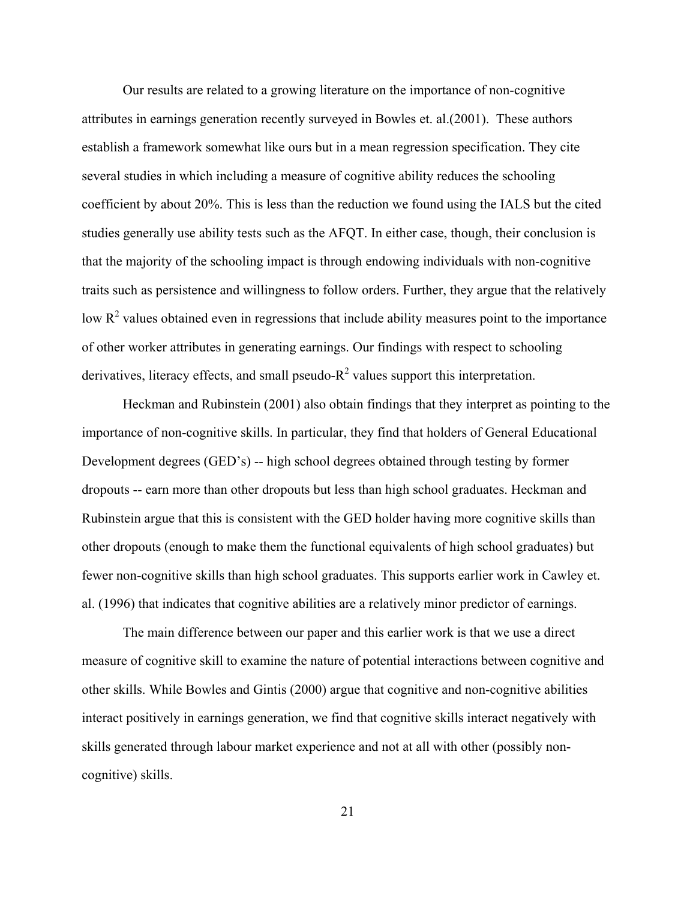Our results are related to a growing literature on the importance of non-cognitive attributes in earnings generation recently surveyed in Bowles et. al.(2001). These authors establish a framework somewhat like ours but in a mean regression specification. They cite several studies in which including a measure of cognitive ability reduces the schooling coefficient by about 20%. This is less than the reduction we found using the IALS but the cited studies generally use ability tests such as the AFQT. In either case, though, their conclusion is that the majority of the schooling impact is through endowing individuals with non-cognitive traits such as persistence and willingness to follow orders. Further, they argue that the relatively low  $R<sup>2</sup>$  values obtained even in regressions that include ability measures point to the importance of other worker attributes in generating earnings. Our findings with respect to schooling derivatives, literacy effects, and small pseudo- $R^2$  values support this interpretation.

Heckman and Rubinstein (2001) also obtain findings that they interpret as pointing to the importance of non-cognitive skills. In particular, they find that holders of General Educational Development degrees (GED's) -- high school degrees obtained through testing by former dropouts -- earn more than other dropouts but less than high school graduates. Heckman and Rubinstein argue that this is consistent with the GED holder having more cognitive skills than other dropouts (enough to make them the functional equivalents of high school graduates) but fewer non-cognitive skills than high school graduates. This supports earlier work in Cawley et. al. (1996) that indicates that cognitive abilities are a relatively minor predictor of earnings.

The main difference between our paper and this earlier work is that we use a direct measure of cognitive skill to examine the nature of potential interactions between cognitive and other skills. While Bowles and Gintis (2000) argue that cognitive and non-cognitive abilities interact positively in earnings generation, we find that cognitive skills interact negatively with skills generated through labour market experience and not at all with other (possibly noncognitive) skills.

21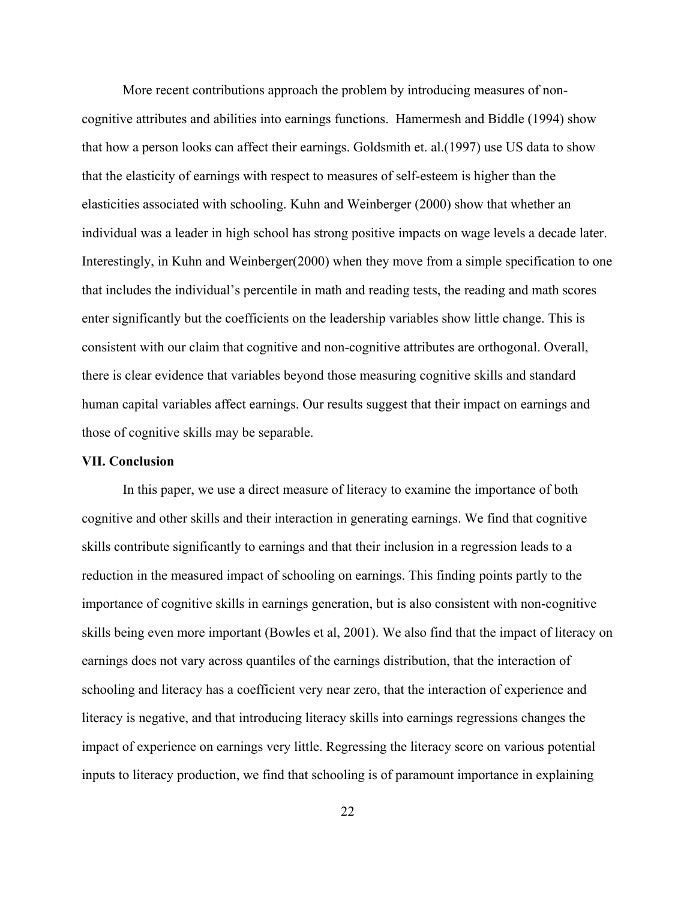More recent contributions approach the problem by introducing measures of noncognitive attributes and abilities into earnings functions. Hamermesh and Biddle (1994) show that how a person looks can affect their earnings. Goldsmith et. al.(1997) use US data to show that the elasticity of earnings with respect to measures of self-esteem is higher than the elasticities associated with schooling. Kuhn and Weinberger (2000) show that whether an individual was a leader in high school has strong positive impacts on wage levels a decade later. Interestingly, in Kuhn and Weinberger(2000) when they move from a simple specification to one that includes the individual's percentile in math and reading tests, the reading and math scores enter significantly but the coefficients on the leadership variables show little change. This is consistent with our claim that cognitive and non-cognitive attributes are orthogonal. Overall, there is clear evidence that variables beyond those measuring cognitive skills and standard human capital variables affect earnings. Our results suggest that their impact on earnings and those of cognitive skills may be separable.

## **VII. Conclusion**

In this paper, we use a direct measure of literacy to examine the importance of both cognitive and other skills and their interaction in generating earnings. We find that cognitive skills contribute significantly to earnings and that their inclusion in a regression leads to a reduction in the measured impact of schooling on earnings. This finding points partly to the importance of cognitive skills in earnings generation, but is also consistent with non-cognitive skills being even more important (Bowles et al, 2001). We also find that the impact of literacy on earnings does not vary across quantiles of the earnings distribution, that the interaction of schooling and literacy has a coefficient very near zero, that the interaction of experience and literacy is negative, and that introducing literacy skills into earnings regressions changes the impact of experience on earnings very little. Regressing the literacy score on various potential inputs to literacy production, we find that schooling is of paramount importance in explaining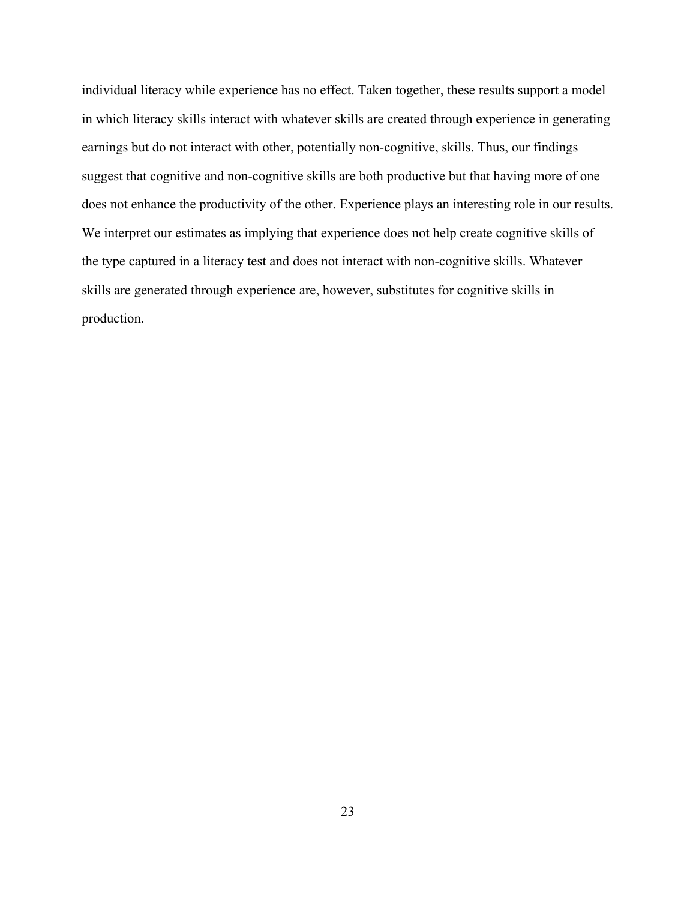individual literacy while experience has no effect. Taken together, these results support a model in which literacy skills interact with whatever skills are created through experience in generating earnings but do not interact with other, potentially non-cognitive, skills. Thus, our findings suggest that cognitive and non-cognitive skills are both productive but that having more of one does not enhance the productivity of the other. Experience plays an interesting role in our results. We interpret our estimates as implying that experience does not help create cognitive skills of the type captured in a literacy test and does not interact with non-cognitive skills. Whatever skills are generated through experience are, however, substitutes for cognitive skills in production.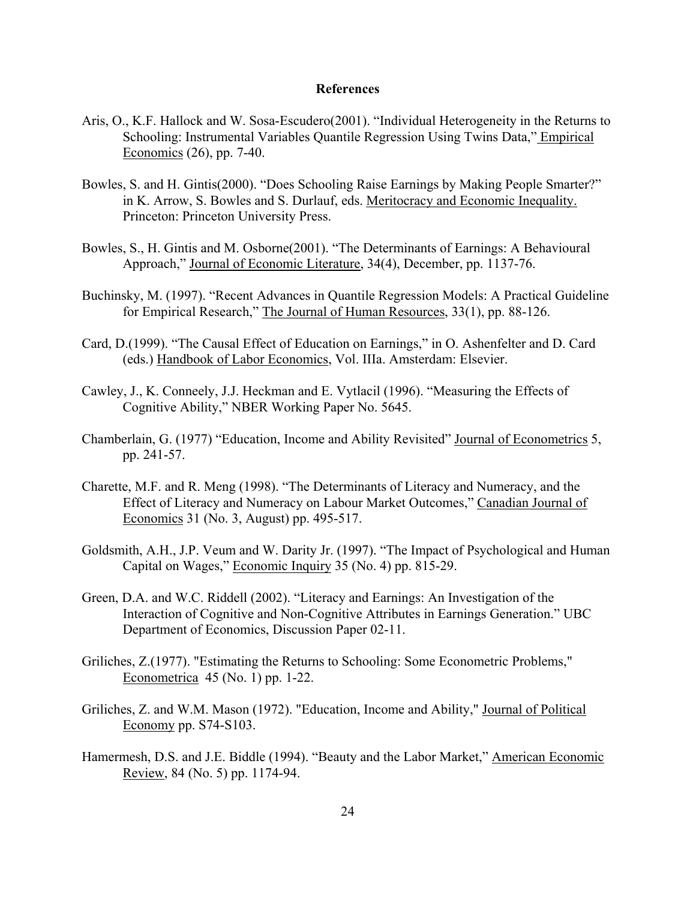## **References**

- Aris, O., K.F. Hallock and W. Sosa-Escudero(2001). "Individual Heterogeneity in the Returns to Schooling: Instrumental Variables Quantile Regression Using Twins Data," *Empirical* Economics (26), pp. 7-40.
- Bowles, S. and H. Gintis(2000). "Does Schooling Raise Earnings by Making People Smarter?" in K. Arrow, S. Bowles and S. Durlauf, eds. Meritocracy and Economic Inequality. Princeton: Princeton University Press.
- Bowles, S., H. Gintis and M. Osborne(2001). "The Determinants of Earnings: A Behavioural Approach," Journal of Economic Literature, 34(4), December, pp. 1137-76.
- Buchinsky, M. (1997). "Recent Advances in Quantile Regression Models: A Practical Guideline for Empirical Research," The Journal of Human Resources, 33(1), pp. 88-126.
- Card, D.(1999). "The Causal Effect of Education on Earnings," in O. Ashenfelter and D. Card (eds.) Handbook of Labor Economics, Vol. IIIa. Amsterdam: Elsevier.
- Cawley, J., K. Conneely, J.J. Heckman and E. Vytlacil (1996). "Measuring the Effects of Cognitive Ability," NBER Working Paper No. 5645.
- Chamberlain, G. (1977) "Education, Income and Ability Revisited" Journal of Econometrics 5, pp. 241-57.
- Charette, M.F. and R. Meng (1998). "The Determinants of Literacy and Numeracy, and the Effect of Literacy and Numeracy on Labour Market Outcomes," Canadian Journal of Economics 31 (No. 3, August) pp. 495-517.
- Goldsmith, A.H., J.P. Veum and W. Darity Jr. (1997). "The Impact of Psychological and Human Capital on Wages," Economic Inquiry 35 (No. 4) pp. 815-29.
- Green, D.A. and W.C. Riddell (2002). "Literacy and Earnings: An Investigation of the Interaction of Cognitive and Non-Cognitive Attributes in Earnings Generation." UBC Department of Economics, Discussion Paper 02-11.
- Griliches, Z.(1977). "Estimating the Returns to Schooling: Some Econometric Problems," Econometrica 45 (No. 1) pp. 1-22.
- Griliches, Z. and W.M. Mason (1972). "Education, Income and Ability," Journal of Political Economy pp. S74-S103.
- Hamermesh, D.S. and J.E. Biddle (1994). "Beauty and the Labor Market," American Economic Review, 84 (No. 5) pp. 1174-94.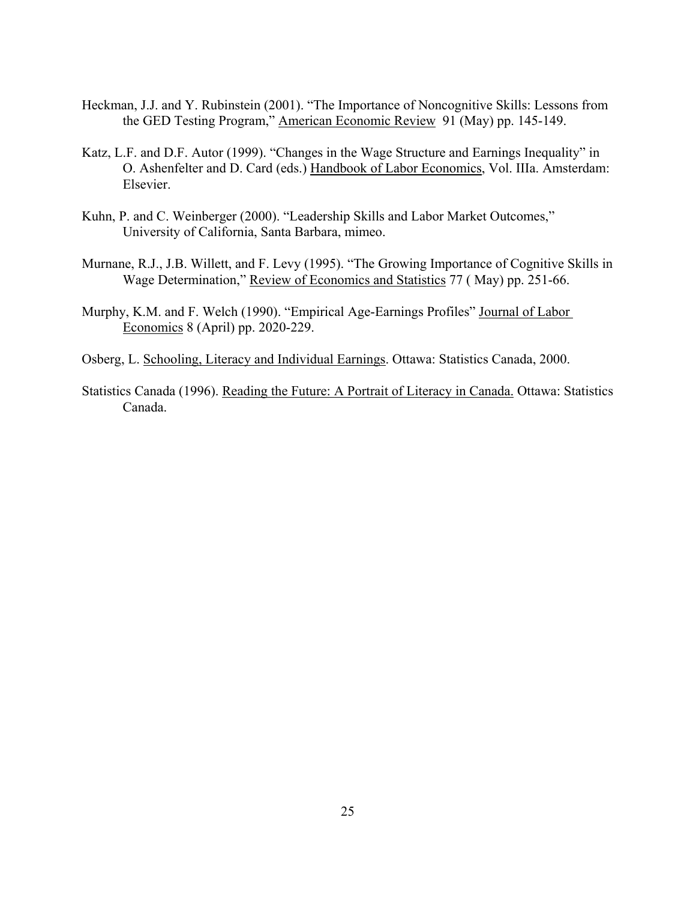- Heckman, J.J. and Y. Rubinstein (2001). "The Importance of Noncognitive Skills: Lessons from the GED Testing Program," American Economic Review 91 (May) pp. 145-149.
- Katz, L.F. and D.F. Autor (1999). "Changes in the Wage Structure and Earnings Inequality" in O. Ashenfelter and D. Card (eds.) Handbook of Labor Economics, Vol. IIIa. Amsterdam: Elsevier.
- Kuhn, P. and C. Weinberger (2000). "Leadership Skills and Labor Market Outcomes," University of California, Santa Barbara, mimeo.
- Murnane, R.J., J.B. Willett, and F. Levy (1995). "The Growing Importance of Cognitive Skills in Wage Determination," Review of Economics and Statistics 77 ( May) pp. 251-66.
- Murphy, K.M. and F. Welch (1990). "Empirical Age-Earnings Profiles" Journal of Labor Economics 8 (April) pp. 2020-229.
- Osberg, L. Schooling, Literacy and Individual Earnings. Ottawa: Statistics Canada, 2000.
- Statistics Canada (1996). Reading the Future: A Portrait of Literacy in Canada. Ottawa: Statistics Canada.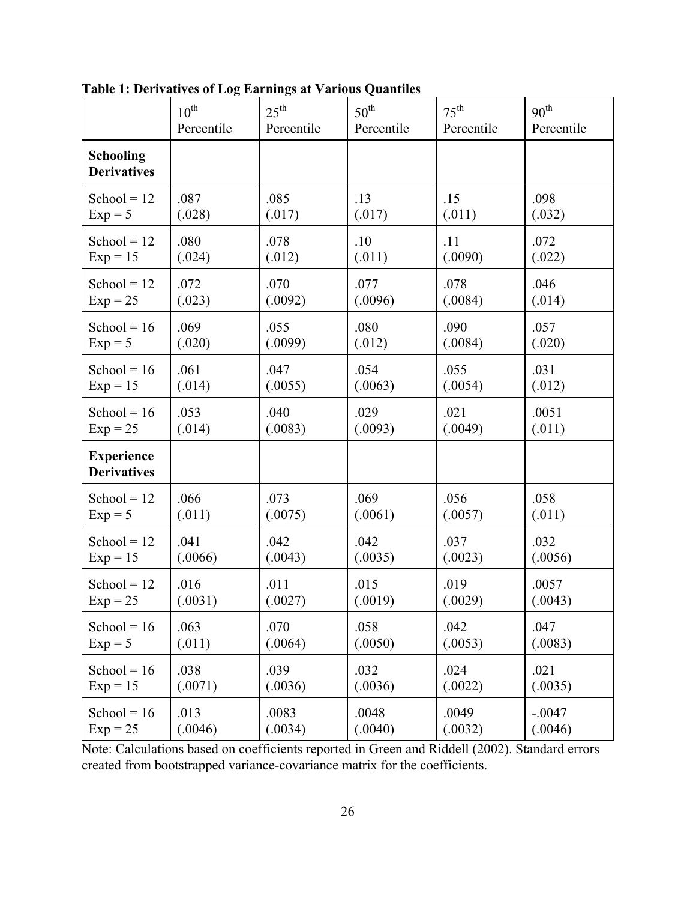|                                         | $10^{\text{th}}$ | $25^{\text{th}}$ | $50^{\text{th}}$ | $75^{\text{th}}$ | 90 <sup>th</sup> |
|-----------------------------------------|------------------|------------------|------------------|------------------|------------------|
|                                         | Percentile       | Percentile       | Percentile       | Percentile       | Percentile       |
| <b>Schooling</b><br><b>Derivatives</b>  |                  |                  |                  |                  |                  |
| School = $12$                           | .087             | .085             | .13              | .15              | .098             |
| $Exp = 5$                               | (.028)           | (.017)           | (.017)           | (.011)           | (.032)           |
| School = $12$                           | .080             | .078             | .10              | .11              | .072             |
| $Exp = 15$                              | (.024)           | (.012)           | (.011)           | (.0090)          | (.022)           |
| School = $12$                           | .072             | .070             | .077             | .078             | .046             |
| $Exp = 25$                              | (.023)           | (.0092)          | (.0096)          | (.0084)          | (.014)           |
| School = $16$                           | .069             | .055             | .080             | .090             | .057             |
| $Exp = 5$                               | (.020)           | (.0099)          | (.012)           | (.0084)          | (.020)           |
| School = $16$                           | .061             | .047             | .054             | .055             | .031             |
| $Exp = 15$                              | (.014)           | (.0055)          | (.0063)          | (.0054)          | (.012)           |
| School = $16$                           | .053             | .040             | .029             | .021             | .0051            |
| $Exp = 25$                              | (.014)           | (.0083)          | (.0093)          | (.0049)          | (.011)           |
| <b>Experience</b><br><b>Derivatives</b> |                  |                  |                  |                  |                  |
| School = $12$                           | .066             | .073             | .069             | .056             | .058             |
| $Exp = 5$                               | (.011)           | (.0075)          | (.0061)          | (.0057)          | (.011)           |
| School = $12$                           | .041             | .042             | .042             | .037             | .032             |
| $Exp = 15$                              | (.0066)          | (.0043)          | (.0035)          | (.0023)          | (.0056)          |
| School = $12$                           | .016             | .011             | .015             | .019             | .0057            |
| $Exp = 25$                              | (.0031)          | (.0027)          | (.0019)          | (.0029)          | (.0043)          |
| School = $16$                           | .063             | .070             | .058             | .042             | .047             |
| $Exp = 5$                               | (.011)           | (.0064)          | (.0050)          | (.0053)          | (.0083)          |
| School = $16$                           | .038             | .039             | .032             | .024             | .021             |
| $Exp = 15$                              | (.0071)          | (.0036)          | (.0036)          | (.0022)          | (.0035)          |
| School = $16$                           | .013             | .0083            | .0048            | .0049            | $-.0047$         |
| $Exp = 25$                              | (.0046)          | (.0034)          | (.0040)          | (.0032)          | (.0046)          |

**Table 1: Derivatives of Log Earnings at Various Quantiles**

Note: Calculations based on coefficients reported in Green and Riddell (2002). Standard errors created from bootstrapped variance-covariance matrix for the coefficients.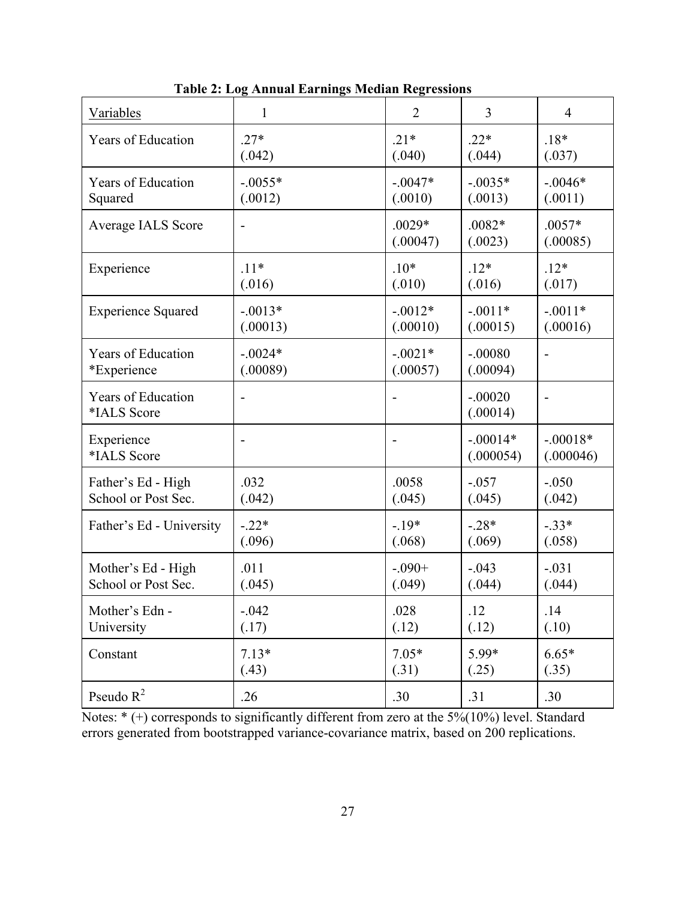| <b>Variables</b>                         | $\mathbf{1}$ | $\overline{2}$       | 3                       | 4                       |
|------------------------------------------|--------------|----------------------|-------------------------|-------------------------|
| Years of Education                       | $.27*$       | $.21*$               | $.22*$                  | $.18*$                  |
|                                          | (.042)       | (.040)               | (.044)                  | (.037)                  |
| Years of Education                       | $-0.0055*$   | $-.0047*$            | $-.0035*$               | $-.0046*$               |
| Squared                                  | (.0012)      | (.0010)              | (.0013)                 | (.0011)                 |
| Average IALS Score                       |              | $.0029*$<br>(.00047) | $.0082*$<br>(.0023)     | $.0057*$<br>(.00085)    |
| Experience                               | $.11*$       | $.10*$               | $.12*$                  | $.12*$                  |
|                                          | (.016)       | (.010)               | (.016)                  | (.017)                  |
| <b>Experience Squared</b>                | $-.0013*$    | $-.0012*$            | $-.0011*$               | $-.0011*$               |
|                                          | (.00013)     | (.00010)             | (.00015)                | (.00016)                |
| <b>Years of Education</b>                | $-0024*$     | $-.0021*$            | $-.00080$               |                         |
| *Experience                              | (.00089)     | (.00057)             | (.00094)                |                         |
| <b>Years of Education</b><br>*IALS Score |              |                      | $-.00020$<br>(.00014)   |                         |
| Experience<br>*IALS Score                |              |                      | $-.00014*$<br>(.000054) | $-.00018*$<br>(.000046) |
| Father's Ed - High                       | .032         | .0058                | $-.057$                 | $-.050$                 |
| School or Post Sec.                      | (.042)       | (.045)               | (.045)                  | (.042)                  |
| Father's Ed - University                 | $-.22*$      | $-19*$               | $-.28*$                 | $-.33*$                 |
|                                          | (.096)       | (.068)               | (.069)                  | (.058)                  |
| Mother's Ed - High                       | .011         | $-.090+$             | $-.043$                 | $-.031$                 |
| School or Post Sec.                      | (.045)       | (.049)               | (.044)                  | (.044)                  |
| Mother's Edn -                           | $-.042$      | .028                 | .12                     | .14                     |
| University                               | (.17)        | (.12)                | (.12)                   | (.10)                   |
| Constant                                 | $7.13*$      | $7.05*$              | 5.99*                   | $6.65*$                 |
|                                          | (.43)        | (.31)                | (.25)                   | (.35)                   |
| Pseudo $R^2$                             | .26          | .30                  | .31                     | .30                     |

 **Table 2: Log Annual Earnings Median Regressions**

Notes: \* (+) corresponds to significantly different from zero at the 5%(10%) level. Standard errors generated from bootstrapped variance-covariance matrix, based on 200 replications.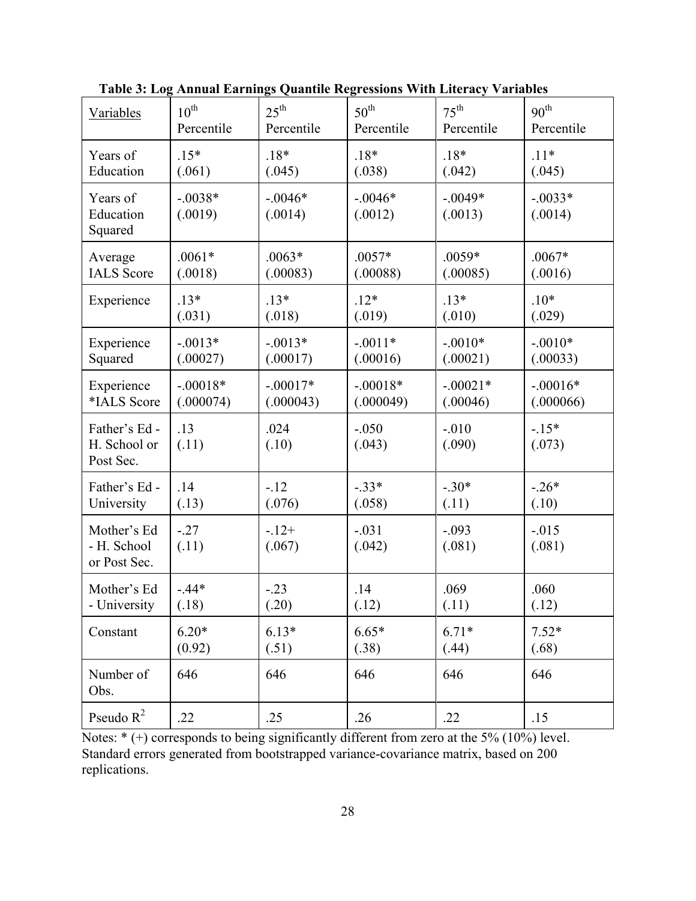| Variables                                  | $10^{\text{th}}$     | $25^{\text{th}}$     | $50^{\text{th}}$     | $75^{\text{th}}$     | 90 <sup>th</sup>     |
|--------------------------------------------|----------------------|----------------------|----------------------|----------------------|----------------------|
|                                            | Percentile           | Percentile           | Percentile           | Percentile           | Percentile           |
| Years of                                   | $.15*$               | $.18*$               | $.18*$               | $.18*$               | $.11*$               |
| Education                                  | (.061)               | (.045)               | (.038)               | (.042)               | (.045)               |
| Years of<br>Education<br>Squared           | $-.0038*$<br>(.0019) | $-.0046*$<br>(.0014) | $-.0046*$<br>(.0012) | $-.0049*$<br>(.0013) | $-.0033*$<br>(.0014) |
| Average                                    | $.0061*$             | $.0063*$             | $.0057*$             | $.0059*$             | $.0067*$             |
| <b>IALS</b> Score                          | (.0018)              | (.00083)             | (.00088)             | (.00085)             | (.0016)              |
| Experience                                 | $.13*$               | $.13*$               | $.12*$               | $.13*$               | $.10*$               |
|                                            | (.031)               | (.018)               | (.019)               | (.010)               | (.029)               |
| Experience                                 | $-.0013*$            | $-.0013*$            | $-.0011*$            | $-.0010*$            | $-.0010*$            |
| Squared                                    | (.00027)             | (.00017)             | (.00016)             | (.00021)             | (.00033)             |
| Experience                                 | $-.00018*$           | $-.00017*$           | $-.00018*$           | $-.00021*$           | $-.00016*$           |
| *IALS Score                                | (.000074)            | (.000043)            | (.000049)            | (.00046)             | (.000066)            |
| Father's Ed-<br>H. School or<br>Post Sec.  | .13<br>(.11)         | .024<br>(.10)        | $-.050$<br>(.043)    | $-010$<br>(.090)     | $-15*$<br>(.073)     |
| Father's Ed-                               | .14                  | $-12$                | $-.33*$              | $-.30*$              | $-.26*$              |
| University                                 | (.13)                | (.076)               | (.058)               | (.11)                | (.10)                |
| Mother's Ed<br>- H. School<br>or Post Sec. | $-.27$<br>(.11)      | $-12+$<br>(.067)     | $-.031$<br>(.042)    | $-.093$<br>(.081)    | $-0.015$<br>(.081)   |
| Mother's Ed                                | $-.44*$              | $-.23$               | .14                  | .069                 | .060                 |
| - University                               | (.18)                | (.20)                | (.12)                | (.11)                | (.12)                |
| Constant                                   | $6.20*$              | $6.13*$              | $6.65*$              | $6.71*$              | $7.52*$              |
|                                            | (0.92)               | (.51)                | (.38)                | (.44)                | (.68)                |
| Number of<br>Obs.                          | 646                  | 646                  | 646                  | 646                  | 646                  |
| Pseudo $R^2$                               | .22                  | .25                  | .26                  | .22                  | .15                  |

 **Table 3: Log Annual Earnings Quantile Regressions With Literacy Variables**

Notes:  $*(+)$  corresponds to being significantly different from zero at the 5% (10%) level. Standard errors generated from bootstrapped variance-covariance matrix, based on 200 replications.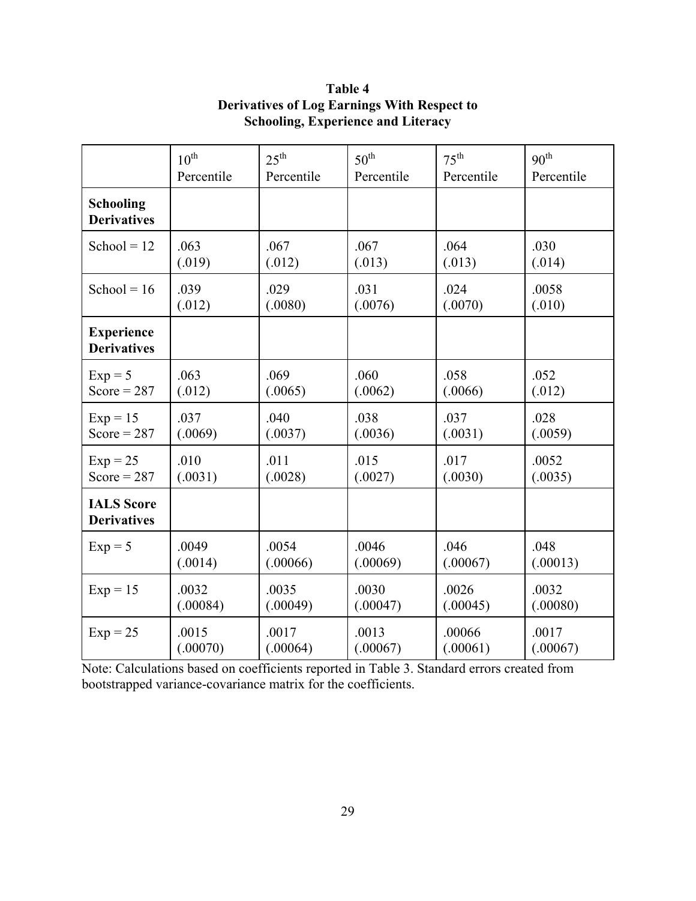|                                         | $10^{\text{th}}$ | $25^{\text{th}}$ | $50^{\text{th}}$ | $75^{\text{th}}$ | 90 <sup>th</sup> |
|-----------------------------------------|------------------|------------------|------------------|------------------|------------------|
|                                         | Percentile       | Percentile       | Percentile       | Percentile       | Percentile       |
| Schooling<br><b>Derivatives</b>         |                  |                  |                  |                  |                  |
| School = $12$                           | .063             | .067             | .067             | .064             | .030             |
|                                         | (.019)           | (.012)           | (.013)           | (.013)           | (.014)           |
| School = $16$                           | .039             | .029             | .031             | .024             | .0058            |
|                                         | (.012)           | (.0080)          | (.0076)          | (.0070)          | (.010)           |
| <b>Experience</b><br><b>Derivatives</b> |                  |                  |                  |                  |                  |
| $Exp = 5$                               | .063             | .069             | .060             | .058             | .052             |
| Score = $287$                           | (.012)           | (.0065)          | (.0062)          | (.0066)          | (.012)           |
| $Exp = 15$                              | .037             | .040             | .038             | .037             | .028             |
| Score = $287$                           | (.0069)          | (.0037)          | (.0036)          | (.0031)          | (.0059)          |
| $Exp = 25$                              | .010             | .011             | .015             | .017             | .0052            |
| Score = $287$                           | (.0031)          | (.0028)          | (.0027)          | (.0030)          | (.0035)          |
| <b>IALS</b> Score<br><b>Derivatives</b> |                  |                  |                  |                  |                  |
| $Exp = 5$                               | .0049            | .0054            | .0046            | .046             | .048             |
|                                         | (.0014)          | (.00066)         | (.00069)         | (.00067)         | (.00013)         |
| $Exp = 15$                              | .0032            | .0035            | .0030            | .0026            | .0032            |
|                                         | (.00084)         | (.00049)         | (.00047)         | (.00045)         | (.00080)         |
| $Exp = 25$                              | .0015            | .0017            | .0013            | .00066           | .0017            |
|                                         | (.00070)         | (.00064)         | (.00067)         | (.00061)         | (.00067)         |

**Table 4 Derivatives of Log Earnings With Respect to Schooling, Experience and Literacy**

Note: Calculations based on coefficients reported in Table 3. Standard errors created from bootstrapped variance-covariance matrix for the coefficients.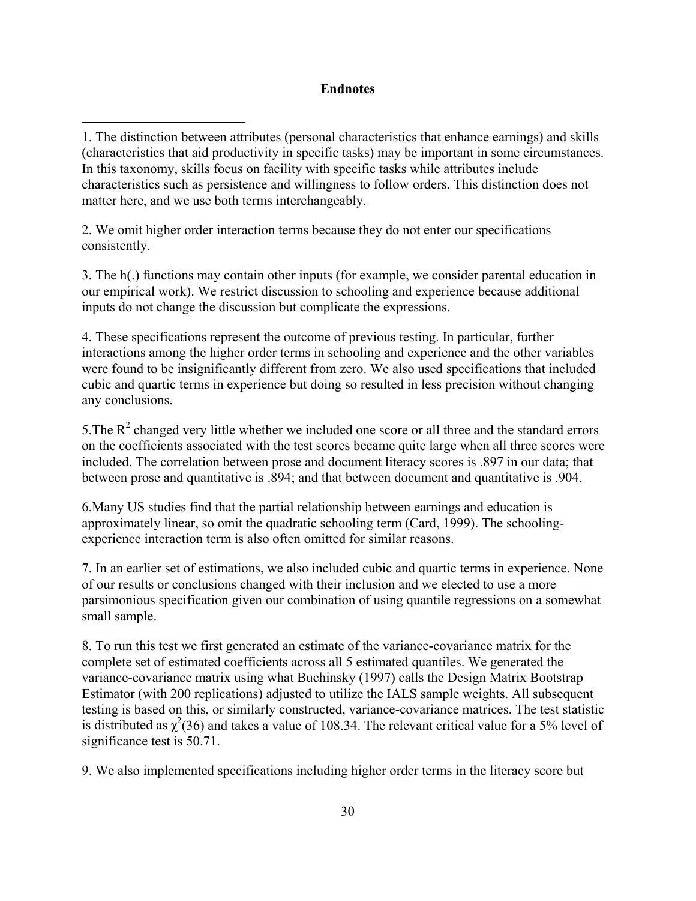# **Endnotes**

2. We omit higher order interaction terms because they do not enter our specifications consistently.

3. The h(.) functions may contain other inputs (for example, we consider parental education in our empirical work). We restrict discussion to schooling and experience because additional inputs do not change the discussion but complicate the expressions.

4. These specifications represent the outcome of previous testing. In particular, further interactions among the higher order terms in schooling and experience and the other variables were found to be insignificantly different from zero. We also used specifications that included cubic and quartic terms in experience but doing so resulted in less precision without changing any conclusions.

5. The  $R<sup>2</sup>$  changed very little whether we included one score or all three and the standard errors on the coefficients associated with the test scores became quite large when all three scores were included. The correlation between prose and document literacy scores is .897 in our data; that between prose and quantitative is .894; and that between document and quantitative is .904.

6.Many US studies find that the partial relationship between earnings and education is approximately linear, so omit the quadratic schooling term (Card, 1999). The schoolingexperience interaction term is also often omitted for similar reasons.

7. In an earlier set of estimations, we also included cubic and quartic terms in experience. None of our results or conclusions changed with their inclusion and we elected to use a more parsimonious specification given our combination of using quantile regressions on a somewhat small sample.

8. To run this test we first generated an estimate of the variance-covariance matrix for the complete set of estimated coefficients across all 5 estimated quantiles. We generated the variance-covariance matrix using what Buchinsky (1997) calls the Design Matrix Bootstrap Estimator (with 200 replications) adjusted to utilize the IALS sample weights. All subsequent testing is based on this, or similarly constructed, variance-covariance matrices. The test statistic is distributed as  $\chi^2(36)$  and takes a value of 108.34. The relevant critical value for a 5% level of significance test is 50.71.

9. We also implemented specifications including higher order terms in the literacy score but

<sup>1.</sup> The distinction between attributes (personal characteristics that enhance earnings) and skills (characteristics that aid productivity in specific tasks) may be important in some circumstances. In this taxonomy, skills focus on facility with specific tasks while attributes include characteristics such as persistence and willingness to follow orders. This distinction does not matter here, and we use both terms interchangeably.